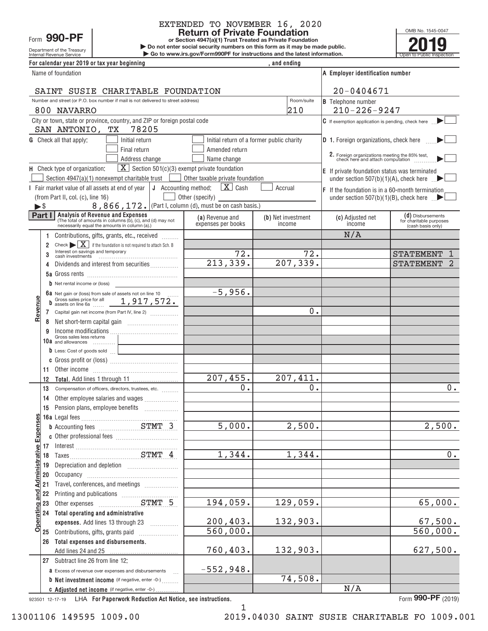Department of the Treasury Form 990-PF

# EXTENDED TO NOVEMBER 16, 2020<br>Return of Private Foundation

**or Section 4947(a)(1) Trust Treated as Private Foundation**

**| Do not enter social security numbers on this form as it may be made public. example 1990 – PF**<br> **Return of Private Foundation**<br> **Po not enter social security numbers on this form as it may be made public.<br>
<b>Private Poundation**<br> **Poundation**<br> **Poundation**<br> **Poundation**<br> **Poundation**<br> **Poundation**<br>

Internal Revenue Service **Construents in the Construction Service Constructions and the latest information.** The Open to Public Inspection For calendar year 2019 or tax year beginning *Formal and ending*, and ending

| Name of foundation                                                                              |                              |                                                                                                                                                                                                                                |                                       | A Employer identification number          |                                                                                     |                                                                   |
|-------------------------------------------------------------------------------------------------|------------------------------|--------------------------------------------------------------------------------------------------------------------------------------------------------------------------------------------------------------------------------|---------------------------------------|-------------------------------------------|-------------------------------------------------------------------------------------|-------------------------------------------------------------------|
|                                                                                                 |                              | SAINT SUSIE CHARITABLE FOUNDATION                                                                                                                                                                                              |                                       |                                           | 20-0404671                                                                          |                                                                   |
| Number and street (or P.O. box number if mail is not delivered to street address)<br>Room/suite |                              |                                                                                                                                                                                                                                |                                       |                                           | <b>B</b> Telephone number                                                           |                                                                   |
|                                                                                                 |                              | 800 NAVARRO                                                                                                                                                                                                                    |                                       | 210                                       | $210 - 226 - 9247$                                                                  |                                                                   |
|                                                                                                 |                              | City or town, state or province, country, and ZIP or foreign postal code<br>78205                                                                                                                                              |                                       |                                           | $C$ If exemption application is pending, check here                                 |                                                                   |
|                                                                                                 |                              | SAN ANTONIO, TX<br><b>G</b> Check all that apply:<br>Initial return                                                                                                                                                            |                                       | Initial return of a former public charity | <b>D</b> 1. Foreign organizations, check here                                       |                                                                   |
|                                                                                                 |                              | Final return                                                                                                                                                                                                                   | Amended return                        |                                           |                                                                                     |                                                                   |
|                                                                                                 |                              | Address change                                                                                                                                                                                                                 | Name change                           |                                           | 2. Foreign organizations meeting the 85% test,<br>check here and attach computation |                                                                   |
|                                                                                                 |                              | $\boxed{\mathbf{X}}$ Section 501(c)(3) exempt private foundation<br>H Check type of organization:                                                                                                                              |                                       |                                           | E If private foundation status was terminated                                       |                                                                   |
|                                                                                                 |                              | Section 4947(a)(1) nonexempt charitable trust                                                                                                                                                                                  | Other taxable private foundation      |                                           | under section 507(b)(1)(A), check here $\Box$                                       |                                                                   |
|                                                                                                 |                              | Fair market value of all assets at end of year $\vert \mathbf{J} \vert$ Accounting method:                                                                                                                                     | $\mathbf{X}$ Cash                     | Accrual                                   | $F$ If the foundation is in a 60-month termination                                  |                                                                   |
|                                                                                                 |                              | (from Part II, col. (c), line 16)                                                                                                                                                                                              | Other (specify) _                     |                                           | under section 507(b)(1)(B), check here $\Box$                                       |                                                                   |
| $\blacktriangleright$ \$                                                                        |                              | 8, 866, 172. (Part I, column (d), must be on cash basis.)                                                                                                                                                                      |                                       |                                           |                                                                                     |                                                                   |
|                                                                                                 | Part I                       | Analysis of Revenue and Expenses<br>(The total of amounts in columns (b), (c), and (d) may not<br>necessarily equal the amounts in column (a).)                                                                                | (a) Revenue and<br>expenses per books | (b) Net investment<br>income              | (c) Adjusted net<br>income                                                          | (d) Disbursements<br>for charitable purposes<br>(cash basis only) |
|                                                                                                 |                              | Contributions, gifts, grants, etc., received                                                                                                                                                                                   |                                       |                                           | N/A                                                                                 |                                                                   |
|                                                                                                 | 2                            | Check $\blacktriangleright \boxed{\mathbf{X}}$ if the foundation is not required to attach Sch. B                                                                                                                              |                                       |                                           |                                                                                     |                                                                   |
|                                                                                                 |                              | Interest on savings and temporary                                                                                                                                                                                              | 72.                                   | 72.                                       |                                                                                     | <b>STATEMENT</b>                                                  |
|                                                                                                 | 4                            | Dividends and interest from securities                                                                                                                                                                                         | 213,339.                              | 207, 339.                                 |                                                                                     | <b>STATEMENT</b><br>2                                             |
|                                                                                                 |                              |                                                                                                                                                                                                                                |                                       |                                           |                                                                                     |                                                                   |
|                                                                                                 |                              | $b$ Net rental income or (loss)                                                                                                                                                                                                | $-5,956.$                             |                                           |                                                                                     |                                                                   |
|                                                                                                 |                              | 6a Net gain or (loss) from sale of assets not on line 10<br>b Gross sales price for all 1, 917, 572.                                                                                                                           |                                       |                                           |                                                                                     |                                                                   |
| Revenue                                                                                         |                              | Capital gain net income (from Part IV, line 2)                                                                                                                                                                                 |                                       | 0.                                        |                                                                                     |                                                                   |
|                                                                                                 | 7<br>8                       |                                                                                                                                                                                                                                |                                       |                                           |                                                                                     |                                                                   |
|                                                                                                 | 9                            |                                                                                                                                                                                                                                |                                       |                                           |                                                                                     |                                                                   |
|                                                                                                 |                              | Gross sales less returns<br>10 $a$ and allowances                                                                                                                                                                              |                                       |                                           |                                                                                     |                                                                   |
|                                                                                                 |                              | $\mathbf b$ Less: Cost of goods sold $\Box$<br><u> 1989 - Jan James James Barnett, fransk politiker (d. 1989)</u>                                                                                                              |                                       |                                           |                                                                                     |                                                                   |
|                                                                                                 |                              |                                                                                                                                                                                                                                |                                       |                                           |                                                                                     |                                                                   |
|                                                                                                 | 11                           | Other income income in the contract of the contract of the contract of the contract of the contract of the contract of the contract of the contract of the contract of the contract of the contract of the contract of the con |                                       |                                           |                                                                                     |                                                                   |
|                                                                                                 | 12                           |                                                                                                                                                                                                                                | 207,455.                              | 207,411.                                  |                                                                                     |                                                                   |
|                                                                                                 | 13                           | Compensation of officers, directors, trustees, etc.                                                                                                                                                                            | 0.                                    | 0.                                        |                                                                                     | 0.                                                                |
|                                                                                                 | 14                           | Other employee salaries and wages                                                                                                                                                                                              |                                       |                                           |                                                                                     |                                                                   |
|                                                                                                 | 15                           |                                                                                                                                                                                                                                |                                       |                                           |                                                                                     |                                                                   |
| Ф                                                                                               |                              |                                                                                                                                                                                                                                | 5,000.                                | 2,500.                                    |                                                                                     |                                                                   |
|                                                                                                 |                              | <b>b</b> Accounting fees <b>ETMT</b> 3                                                                                                                                                                                         |                                       |                                           |                                                                                     | 2,500.                                                            |
|                                                                                                 |                              |                                                                                                                                                                                                                                |                                       |                                           |                                                                                     |                                                                   |
| <b>Administrative Expen</b>                                                                     |                              |                                                                                                                                                                                                                                | 1,344.                                | 1,344.                                    |                                                                                     | 0.                                                                |
|                                                                                                 | 19                           |                                                                                                                                                                                                                                |                                       |                                           |                                                                                     |                                                                   |
|                                                                                                 | 20                           |                                                                                                                                                                                                                                |                                       |                                           |                                                                                     |                                                                   |
|                                                                                                 | 21                           | Travel, conferences, and meetings                                                                                                                                                                                              |                                       |                                           |                                                                                     |                                                                   |
|                                                                                                 |                              |                                                                                                                                                                                                                                |                                       |                                           |                                                                                     |                                                                   |
|                                                                                                 |                              | Printing and publications<br>Other expenses<br>COMPLET STMT 5                                                                                                                                                                  | 194,059.                              | 129,059.                                  |                                                                                     | 65,000.                                                           |
|                                                                                                 |                              | 24 Total operating and administrative                                                                                                                                                                                          |                                       |                                           |                                                                                     |                                                                   |
| o                                                                                               | Derating and J<br>2 23 23 24 | expenses. Add lines 13 through 23                                                                                                                                                                                              | 200, 403.                             | 132,903.                                  |                                                                                     | 67,500.                                                           |
|                                                                                                 |                              | 25 Contributions, gifts, grants paid                                                                                                                                                                                           | 560,000.                              |                                           |                                                                                     | 560,000.                                                          |
|                                                                                                 |                              | 26 Total expenses and disbursements.<br>Add lines 24 and 25                                                                                                                                                                    | 760,403.                              | 132,903.                                  |                                                                                     | 627,500.                                                          |
|                                                                                                 |                              | 27 Subtract line 26 from line 12:                                                                                                                                                                                              |                                       |                                           |                                                                                     |                                                                   |
|                                                                                                 |                              | a Excess of revenue over expenses and disbursements<br>$\sim$                                                                                                                                                                  | $-552,948.$                           |                                           |                                                                                     |                                                                   |
|                                                                                                 |                              | <b>b</b> Net investment income (if negative, enter -0-)                                                                                                                                                                        |                                       | 74,508.                                   |                                                                                     |                                                                   |
|                                                                                                 |                              | C Adjusted net income (if negative, enter -0-)                                                                                                                                                                                 |                                       |                                           | N/A                                                                                 |                                                                   |
|                                                                                                 |                              |                                                                                                                                                                                                                                |                                       |                                           |                                                                                     | 000 <sub>0</sub>                                                  |

13001106 149595 1009.00 2019.04030 SAINT SUSIE CHARITABLE FO 1009.001

923501 12‐17‐19 **For Paperwork Reduction Act Notice, see instructions.** LHA Form (2019) **990‐PF**

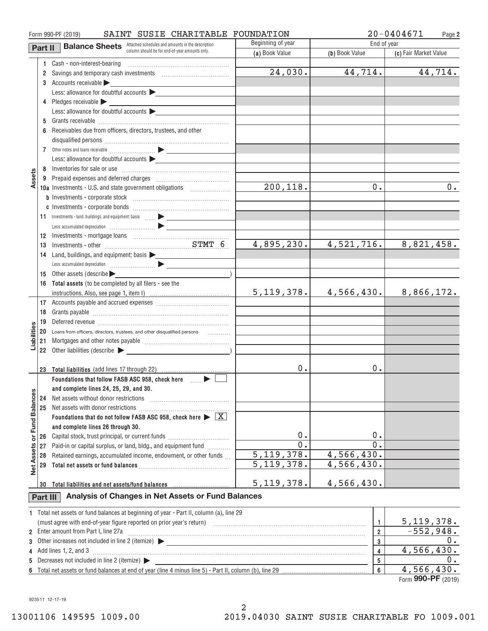|                      |                      | SAINT SUSIE CHARITABLE FOUNDATION<br>Form 990-PF (2019)                                                        |                   |                     | $20 - 0404671$<br>Page 2 |
|----------------------|----------------------|----------------------------------------------------------------------------------------------------------------|-------------------|---------------------|--------------------------|
|                      | Part II              | <b>Balance Sheets</b> Attached schedules and amounts in the description                                        | Beginning of year | End of year         |                          |
|                      |                      | column should be for end-of-year amounts only.                                                                 | (a) Book Value    | (b) Book Value      | (c) Fair Market Value    |
|                      |                      |                                                                                                                |                   |                     |                          |
|                      | $\mathbf{2}^{\circ}$ | Savings and temporary cash investments [1001] [1001] [1001] [1001] [1001] [1001] [1001] [1001] [1001] [1001] [ | 24,030.           | 44, 714.            | 44,714.                  |
|                      |                      | 3 Accounts receivable                                                                                          |                   |                     |                          |
|                      |                      | Less: allowance for doubtful accounts                                                                          |                   |                     |                          |
|                      |                      | 4 Pledges receivable                                                                                           |                   |                     |                          |
|                      |                      | Less: allowance for doubtful accounts $\blacktriangleright$                                                    |                   |                     |                          |
|                      |                      |                                                                                                                |                   |                     |                          |
|                      | 6                    | Receivables due from officers, directors, trustees, and other                                                  |                   |                     |                          |
|                      |                      |                                                                                                                |                   |                     |                          |
|                      |                      |                                                                                                                |                   |                     |                          |
|                      |                      | Less: allowance for doubtful accounts                                                                          |                   |                     |                          |
|                      |                      |                                                                                                                |                   |                     |                          |
| Assets               |                      |                                                                                                                |                   |                     |                          |
|                      |                      | 10a Investments - U.S. and state government obligations                                                        | 200, 118.         | 0.                  | 0.                       |
|                      |                      |                                                                                                                |                   |                     |                          |
|                      |                      |                                                                                                                |                   |                     |                          |
|                      |                      | 11 Investments - land, buildings, and equipment: basis  > _______________                                      |                   |                     |                          |
|                      |                      |                                                                                                                |                   |                     |                          |
|                      | 12                   |                                                                                                                |                   |                     |                          |
|                      | 13                   |                                                                                                                | 4,895,230.        | 4,521,716.          | 8,821,458.               |
|                      | 14                   | Land, buildings, and equipment: basis                                                                          |                   |                     |                          |
|                      |                      |                                                                                                                |                   |                     |                          |
|                      | 15                   | Other assets (describe                                                                                         |                   |                     |                          |
|                      |                      | 16 Total assets (to be completed by all filers - see the                                                       |                   |                     |                          |
|                      |                      |                                                                                                                | 5, 119, 378.      | 4,566,430.          | 8,866,172.               |
|                      |                      |                                                                                                                |                   |                     |                          |
|                      | 18                   |                                                                                                                |                   |                     |                          |
|                      | 19                   |                                                                                                                |                   |                     |                          |
| iabiliti             | 20                   | Loans from officers, directors, trustees, and other disqualified persons                                       |                   |                     |                          |
|                      | 21                   |                                                                                                                |                   |                     |                          |
|                      | 22                   |                                                                                                                |                   |                     |                          |
|                      |                      |                                                                                                                | 0.                | 0.                  |                          |
|                      |                      | 23 Total liabilities (add lines 17 through 22)<br>Foundations that follow FASB ASC 958, check here <b>Fig.</b> |                   |                     |                          |
|                      |                      | and complete lines 24, 25, 29, and 30.                                                                         |                   |                     |                          |
|                      | 24                   | Net assets without donor restrictions                                                                          |                   |                     |                          |
|                      | 25                   |                                                                                                                |                   |                     |                          |
| <b>Fund Balances</b> |                      | Foundations that do not follow FASB ASC 958, check here $\blacktriangleright \boxed{\text{X}}$                 |                   |                     |                          |
|                      |                      | and complete lines 26 through 30.                                                                              |                   |                     |                          |
|                      | 26                   | Capital stock, trust principal, or current funds                                                               | 0.                | 0.                  |                          |
| ŏ                    | 27                   | Paid-in or capital surplus, or land, bldg., and equipment fund                                                 | $\overline{0}$ .  | $\overline{0}$ .    |                          |
|                      | 28                   | Retained earnings, accumulated income, endowment, or other funds                                               | 5, 119, 378.      | 4,566,430.          |                          |
| <b>Net Assets</b>    | 29                   |                                                                                                                | 5, 119, 378.      | 4,566,430.          |                          |
|                      |                      |                                                                                                                |                   |                     |                          |
|                      | 30                   | Total liabilities and net assets/fund balances with an intermal contained a result of the Total II and Total I | 5, 119, 378.      | 4,566,430.          |                          |
|                      | Part III             | Analysis of Changes in Net Assets or Fund Balances                                                             |                   |                     |                          |
|                      |                      |                                                                                                                |                   |                     |                          |
|                      |                      | 1 Total net assets or fund balances at beginning of year - Part II, column (a), line 29                        |                   |                     |                          |
|                      |                      |                                                                                                                |                   | $\mathbf{1}$        | 5,119,378.               |
|                      |                      | 2 Enter amount from Part I, line 27a                                                                           |                   | $\overline{2}$      | $-552,948.$              |
| 3                    |                      |                                                                                                                |                   | 3                   | 0.                       |
| 4                    |                      | Add lines 1, 2, and 3                                                                                          |                   | 4                   | 4,566,430.               |
| 5                    |                      | Decreases not included in line 2 (itemize)                                                                     |                   | 5<br>$6\phantom{a}$ | 0.<br>4,566,430.         |
|                      |                      |                                                                                                                |                   |                     |                          |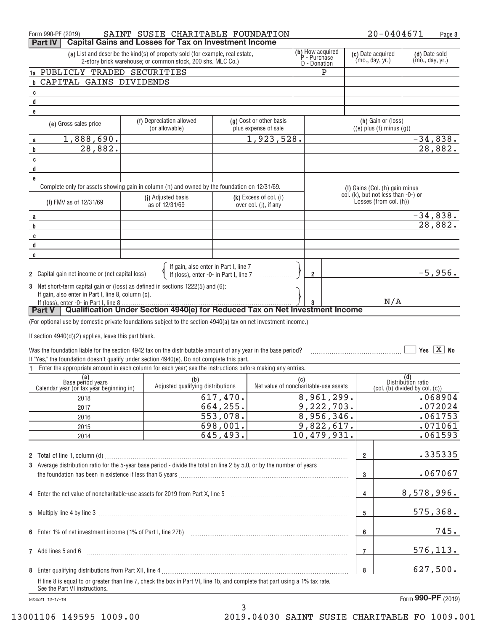| Form 990-PF (2019)                                                                                                                                                                                      | SAINT SUSIE CHARITABLE FOUNDATION                                                                                            |           |                                                   |     |             |                 |                                                                                                     | 20-0404671                                                                                         |            | Page 3                     |
|---------------------------------------------------------------------------------------------------------------------------------------------------------------------------------------------------------|------------------------------------------------------------------------------------------------------------------------------|-----------|---------------------------------------------------|-----|-------------|-----------------|-----------------------------------------------------------------------------------------------------|----------------------------------------------------------------------------------------------------|------------|----------------------------|
| <b>Part IV</b>                                                                                                                                                                                          | <b>Capital Gains and Losses for Tax on Investment Income</b>                                                                 |           |                                                   |     |             |                 |                                                                                                     |                                                                                                    |            |                            |
| (b) How acquired<br>(a) List and describe the kind(s) of property sold (for example, real estate,<br>P - Purchase<br>2-story brick warehouse; or common stock, 200 shs. MLC Co.)<br><b>D</b> - Donation |                                                                                                                              |           |                                                   |     |             | (mo., day, yr.) | (c) Date acquired                                                                                   | (d) Date sold<br>(mo., day, yr.)                                                                   |            |                            |
| 1a PUBLICLY TRADED SECURITIES                                                                                                                                                                           |                                                                                                                              |           |                                                   |     | P           |                 |                                                                                                     |                                                                                                    |            |                            |
| CAPITAL GAINS DIVIDENDS                                                                                                                                                                                 |                                                                                                                              |           |                                                   |     |             |                 |                                                                                                     |                                                                                                    |            |                            |
| C                                                                                                                                                                                                       |                                                                                                                              |           |                                                   |     |             |                 |                                                                                                     |                                                                                                    |            |                            |
| d                                                                                                                                                                                                       |                                                                                                                              |           |                                                   |     |             |                 |                                                                                                     |                                                                                                    |            |                            |
| е                                                                                                                                                                                                       |                                                                                                                              |           |                                                   |     |             |                 |                                                                                                     |                                                                                                    |            |                            |
| (e) Gross sales price                                                                                                                                                                                   | (f) Depreciation allowed<br>(or allowable)                                                                                   |           | (g) Cost or other basis<br>plus expense of sale   |     |             |                 |                                                                                                     | (h) Gain or (loss)<br>$((e)$ plus $(f)$ minus $(g)$ )                                              |            |                            |
| 1,888,690.                                                                                                                                                                                              |                                                                                                                              |           | 1,923,528.                                        |     |             |                 |                                                                                                     |                                                                                                    |            |                            |
| а<br>28,882.<br>b                                                                                                                                                                                       |                                                                                                                              |           |                                                   |     |             |                 |                                                                                                     |                                                                                                    |            | $\frac{-34,838}{28,882}$   |
|                                                                                                                                                                                                         |                                                                                                                              |           |                                                   |     |             |                 |                                                                                                     |                                                                                                    |            |                            |
| C<br>d                                                                                                                                                                                                  |                                                                                                                              |           |                                                   |     |             |                 |                                                                                                     |                                                                                                    |            |                            |
|                                                                                                                                                                                                         |                                                                                                                              |           |                                                   |     |             |                 |                                                                                                     |                                                                                                    |            |                            |
| е                                                                                                                                                                                                       | Complete only for assets showing gain in column (h) and owned by the foundation on 12/31/69.                                 |           |                                                   |     |             |                 |                                                                                                     |                                                                                                    |            |                            |
| (i) FMV as of 12/31/69                                                                                                                                                                                  | (j) Adjusted basis<br>as of 12/31/69                                                                                         |           | $(k)$ Excess of col. (i)<br>over col. (j), if any |     |             |                 |                                                                                                     | (I) Gains (Col. (h) gain minus<br>col. (k), but not less than $-0$ -) or<br>Losses (from col. (h)) |            |                            |
|                                                                                                                                                                                                         |                                                                                                                              |           |                                                   |     |             |                 |                                                                                                     |                                                                                                    |            |                            |
| a                                                                                                                                                                                                       |                                                                                                                              |           |                                                   |     |             |                 |                                                                                                     |                                                                                                    |            | $\frac{-34,838.}{28,882.}$ |
| b                                                                                                                                                                                                       |                                                                                                                              |           |                                                   |     |             |                 |                                                                                                     |                                                                                                    |            |                            |
| C                                                                                                                                                                                                       |                                                                                                                              |           |                                                   |     |             |                 |                                                                                                     |                                                                                                    |            |                            |
| d                                                                                                                                                                                                       |                                                                                                                              |           |                                                   |     |             |                 |                                                                                                     |                                                                                                    |            |                            |
| е                                                                                                                                                                                                       |                                                                                                                              |           |                                                   |     |             |                 |                                                                                                     |                                                                                                    |            |                            |
| <b>2</b> Capital gain net income or (net capital loss)                                                                                                                                                  | If gain, also enter in Part I, line 7<br>If (loss), enter -0- in Part I, line 7                                              |           |                                                   |     | 2           |                 |                                                                                                     |                                                                                                    |            | $-5,956.$                  |
| 3 Net short-term capital gain or (loss) as defined in sections 1222(5) and (6):                                                                                                                         |                                                                                                                              |           |                                                   |     |             |                 |                                                                                                     |                                                                                                    |            |                            |
| If gain, also enter in Part I, line 8, column (c).                                                                                                                                                      |                                                                                                                              |           |                                                   |     |             |                 |                                                                                                     |                                                                                                    |            |                            |
| If (loss), enter -0- in Part I, line 8.                                                                                                                                                                 |                                                                                                                              |           |                                                   |     |             |                 |                                                                                                     | N/A                                                                                                |            |                            |
| <b>Part V</b>                                                                                                                                                                                           | Qualification Under Section 4940(e) for Reduced Tax on Net Investment Income                                                 |           |                                                   |     |             |                 |                                                                                                     |                                                                                                    |            |                            |
| (For optional use by domestic private foundations subject to the section 4940(a) tax on net investment income.)                                                                                         |                                                                                                                              |           |                                                   |     |             |                 |                                                                                                     |                                                                                                    |            |                            |
|                                                                                                                                                                                                         |                                                                                                                              |           |                                                   |     |             |                 |                                                                                                     |                                                                                                    |            |                            |
| If section $4940(d)(2)$ applies, leave this part blank.                                                                                                                                                 |                                                                                                                              |           |                                                   |     |             |                 |                                                                                                     |                                                                                                    |            |                            |
| Was the foundation liable for the section 4942 tax on the distributable amount of any year in the base period?                                                                                          |                                                                                                                              |           |                                                   |     |             |                 |                                                                                                     |                                                                                                    |            | Yes $X$ No                 |
| If "Yes," the foundation doesn't qualify under section 4940(e). Do not complete this part.                                                                                                              |                                                                                                                              |           |                                                   |     |             |                 |                                                                                                     |                                                                                                    |            |                            |
|                                                                                                                                                                                                         | Enter the appropriate amount in each column for each year; see the instructions before making any entries.                   |           |                                                   |     |             |                 |                                                                                                     |                                                                                                    |            |                            |
| (a)<br>Base period years                                                                                                                                                                                | (b)                                                                                                                          |           |                                                   | (c) |             |                 |                                                                                                     |                                                                                                    |            |                            |
| Calendar year (or tax year beginning in)                                                                                                                                                                | Adjusted qualifying distributions                                                                                            |           | Net value of noncharitable-use assets             |     |             |                 | (d)<br>Distribution ratio<br>$\overline{c}$ (col. $\overline{b}$ ) divided by col. $\overline{c}$ ) |                                                                                                    |            |                            |
| 2018                                                                                                                                                                                                    |                                                                                                                              | 617,470.  |                                                   |     | 8,961,299.  |                 |                                                                                                     |                                                                                                    |            | .068904                    |
| 2017                                                                                                                                                                                                    |                                                                                                                              | 664, 255. |                                                   |     | 9,222,703.  |                 |                                                                                                     |                                                                                                    |            | .072024                    |
| 2016                                                                                                                                                                                                    |                                                                                                                              | 553,078.  |                                                   |     | 8,956,346.  |                 |                                                                                                     |                                                                                                    |            | .061753                    |
| 2015                                                                                                                                                                                                    |                                                                                                                              | 698,001.  |                                                   |     | 9,822,617.  |                 |                                                                                                     |                                                                                                    |            | .071061                    |
|                                                                                                                                                                                                         |                                                                                                                              | 645,493.  |                                                   |     | 10,479,931. |                 |                                                                                                     |                                                                                                    |            | .061593                    |
| 2014                                                                                                                                                                                                    |                                                                                                                              |           |                                                   |     |             |                 |                                                                                                     |                                                                                                    |            |                            |
|                                                                                                                                                                                                         |                                                                                                                              |           |                                                   |     |             |                 |                                                                                                     |                                                                                                    |            |                            |
|                                                                                                                                                                                                         |                                                                                                                              |           |                                                   |     |             |                 | $\overline{2}$                                                                                      |                                                                                                    |            | .335335                    |
| 3 Average distribution ratio for the 5-year base period - divide the total on line 2 by 5.0, or by the number of years                                                                                  |                                                                                                                              |           |                                                   |     |             |                 |                                                                                                     |                                                                                                    |            |                            |
|                                                                                                                                                                                                         |                                                                                                                              |           |                                                   |     |             |                 | 3                                                                                                   |                                                                                                    |            | .067067                    |
|                                                                                                                                                                                                         |                                                                                                                              |           |                                                   |     |             |                 | 4                                                                                                   |                                                                                                    | 8,578,996. |                            |
|                                                                                                                                                                                                         |                                                                                                                              |           |                                                   |     |             |                 |                                                                                                     |                                                                                                    |            |                            |
|                                                                                                                                                                                                         |                                                                                                                              |           |                                                   |     |             |                 | 5                                                                                                   |                                                                                                    |            | 575,368.                   |
|                                                                                                                                                                                                         |                                                                                                                              |           |                                                   |     |             |                 |                                                                                                     |                                                                                                    |            |                            |
|                                                                                                                                                                                                         |                                                                                                                              |           | 6                                                 |     |             | 745.            |                                                                                                     |                                                                                                    |            |                            |
|                                                                                                                                                                                                         |                                                                                                                              |           |                                                   |     |             |                 |                                                                                                     |                                                                                                    |            |                            |
| 7 Add lines 5 and 6                                                                                                                                                                                     |                                                                                                                              |           |                                                   |     |             |                 | 7                                                                                                   |                                                                                                    |            | 576, 113.                  |
|                                                                                                                                                                                                         |                                                                                                                              |           |                                                   | 8   |             |                 | 627,500.                                                                                            |                                                                                                    |            |                            |
| See the Part VI instructions.                                                                                                                                                                           | If line 8 is equal to or greater than line 7, check the box in Part VI, line 1b, and complete that part using a 1% tax rate. |           |                                                   |     |             |                 |                                                                                                     |                                                                                                    |            |                            |
|                                                                                                                                                                                                         |                                                                                                                              |           |                                                   |     |             |                 |                                                                                                     |                                                                                                    |            |                            |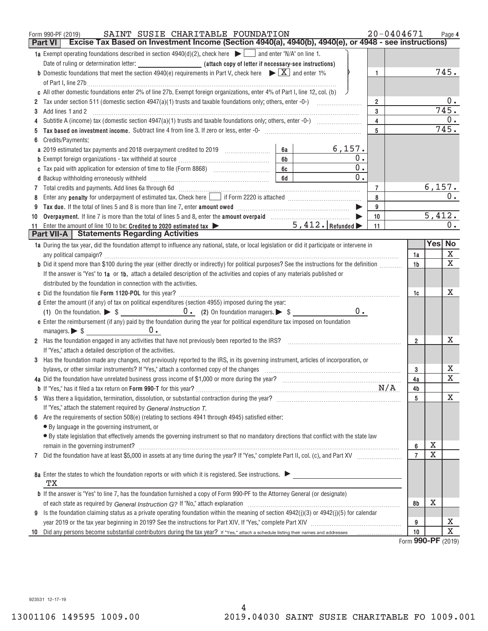|    | SAINT SUSIE CHARITABLE FOUNDATION<br>Form 990-PF (2019)                                                                                                                                                                        |                | $20 - 0404671$ |             | Page 4       |
|----|--------------------------------------------------------------------------------------------------------------------------------------------------------------------------------------------------------------------------------|----------------|----------------|-------------|--------------|
|    | Excise Tax Based on Investment Income (Section 4940(a), 4940(b), 4940(e), or 4948 - see instructions)<br><b>Part VI</b>                                                                                                        |                |                |             |              |
|    | <b>1a</b> Exempt operating foundations described in section 4940(d)(2), check here $\Box$ and enter "N/A" on line 1.                                                                                                           |                |                |             |              |
|    |                                                                                                                                                                                                                                |                |                |             |              |
|    | <b>b</b> Domestic foundations that meet the section 4940(e) requirements in Part V, check here $\blacktriangleright \boxed{X}$ and enter 1%                                                                                    | 1              |                |             | 745.         |
|    | of Part I, line 27b $\ldots$                                                                                                                                                                                                   |                |                |             |              |
|    | c All other domestic foundations enter 2% of line 27b. Exempt foreign organizations, enter 4% of Part I, line 12, col. (b)                                                                                                     |                |                |             |              |
|    |                                                                                                                                                                                                                                | $\overline{2}$ |                |             | 0.           |
| 3  | Add lines 1 and 2                                                                                                                                                                                                              | 3              |                |             | 745.         |
|    |                                                                                                                                                                                                                                | $\overline{4}$ |                |             | 0.           |
|    | Tax based on investment income. Subtract line 4 from line 3. If zero or less, enter -0- manufactured contains and income subsequent on the San Basil Contains and the San Basil Contains and the San Basil Contains and the Sa | 5              |                |             | 745.         |
|    | Credits/Payments:                                                                                                                                                                                                              |                |                |             |              |
|    | 6,157.<br>a 2019 estimated tax payments and 2018 overpayment credited to 2019 [100] [100]<br>6а                                                                                                                                |                |                |             |              |
|    | 0.<br>6 <sub>b</sub><br><b>b</b> Exempt foreign organizations - tax withheld at source <i>manumanal communicanal communicanal</i>                                                                                              |                |                |             |              |
|    | 0.<br>6c                                                                                                                                                                                                                       |                |                |             |              |
|    | 0.<br>6d                                                                                                                                                                                                                       |                |                |             |              |
|    |                                                                                                                                                                                                                                | $\overline{7}$ |                | 6,157.      |              |
|    |                                                                                                                                                                                                                                | 8              |                |             | 0.           |
|    |                                                                                                                                                                                                                                | 9              |                |             |              |
| 10 |                                                                                                                                                                                                                                | 10             |                | 5,412.      |              |
| 11 | $5,412.$ Refunded $\blacktriangleright$<br>Enter the amount of line 10 to be: Credited to 2020 estimated tax                                                                                                                   | 11             |                |             | 0.           |
|    | <b>Part VII-A</b> Statements Regarding Activities                                                                                                                                                                              |                |                |             |              |
|    | 1a During the tax year, did the foundation attempt to influence any national, state, or local legislation or did it participate or intervene in                                                                                |                |                |             | Yes No       |
|    |                                                                                                                                                                                                                                |                | 1a             |             | X            |
|    | b Did it spend more than \$100 during the year (either directly or indirectly) for political purposes? See the instructions for the definition                                                                                 |                | 1b             |             | $\mathbf{x}$ |
|    | If the answer is "Yes" to 1a or 1b, attach a detailed description of the activities and copies of any materials published or                                                                                                   |                |                |             |              |
|    | distributed by the foundation in connection with the activities.                                                                                                                                                               |                |                |             |              |
|    |                                                                                                                                                                                                                                |                | 1c             |             | x            |
|    | d Enter the amount (if any) of tax on political expenditures (section 4955) imposed during the year:                                                                                                                           |                |                |             |              |
|    | $0 \cdot$                                                                                                                                                                                                                      |                |                |             |              |
|    | e Enter the reimbursement (if any) paid by the foundation during the year for political expenditure tax imposed on foundation                                                                                                  |                |                |             |              |
|    | managers. $\triangleright$ \$ $\_\_\_\_\_\_\_\_\_\_\_\_\_\_\_\_\_\_\_\_\_\_\_\_\_\_\_$<br>$0$ .                                                                                                                                |                |                |             |              |
|    | 2 Has the foundation engaged in any activities that have not previously been reported to the IRS?                                                                                                                              |                | $\overline{2}$ |             | х            |
|    | If "Yes," attach a detailed description of the activities.                                                                                                                                                                     |                |                |             |              |
|    | 3 Has the foundation made any changes, not previously reported to the IRS, in its governing instrument, articles of incorporation, or                                                                                          |                |                |             |              |
|    | bylaws, or other similar instruments? If "Yes," attach a conformed copy of the changes                                                                                                                                         |                | 3              |             | Х            |
|    |                                                                                                                                                                                                                                |                | 4a             |             | X            |
|    |                                                                                                                                                                                                                                |                | 4b             |             |              |
|    |                                                                                                                                                                                                                                |                | 5              |             | Х            |
|    | If "Yes," attach the statement required by General Instruction T.                                                                                                                                                              |                |                |             |              |
|    | 6 Are the requirements of section $508(e)$ (relating to sections 4941 through 4945) satisfied either:                                                                                                                          |                |                |             |              |
|    | • By language in the governing instrument, or                                                                                                                                                                                  |                |                |             |              |
|    | • By state legislation that effectively amends the governing instrument so that no mandatory directions that conflict with the state law                                                                                       |                |                |             |              |
|    | remain in the governing instrument? Manual Communication and the state of the state of the state of the state of the state of the state of the state of the state of the state of the state of the state of the state of the s |                | 6              | х           |              |
| 7  |                                                                                                                                                                                                                                |                | $\overline{7}$ | $\mathbf x$ |              |
|    |                                                                                                                                                                                                                                |                |                |             |              |
|    | 8a Enter the states to which the foundation reports or with which it is registered. See instructions.                                                                                                                          |                |                |             |              |
|    | TХ                                                                                                                                                                                                                             |                |                |             |              |
|    | <b>b</b> If the answer is "Yes" to line 7, has the foundation furnished a copy of Form 990-PF to the Attorney General (or designate)                                                                                           |                |                |             |              |
|    |                                                                                                                                                                                                                                |                | 8b             | X           |              |
|    | 9 Is the foundation claiming status as a private operating foundation within the meaning of section $4942(j)(3)$ or $4942(j)(5)$ for calendar                                                                                  |                |                |             |              |
|    |                                                                                                                                                                                                                                |                | 9              |             | х            |
| 10 |                                                                                                                                                                                                                                |                | 10             |             | $\mathbf X$  |
|    |                                                                                                                                                                                                                                |                | $\sim$         |             |              |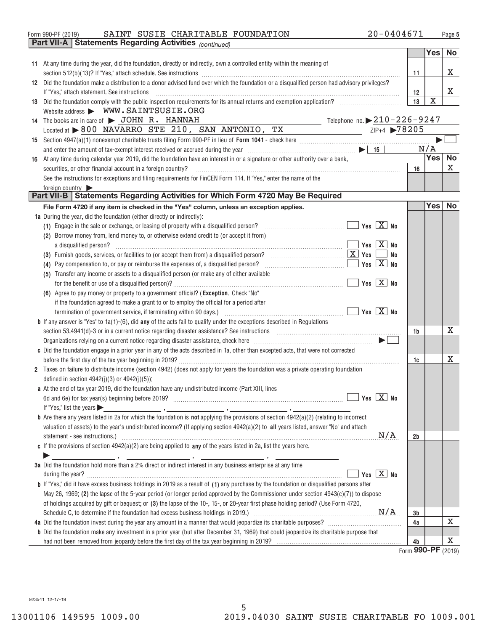| Form 990-PF (2019) |  | SAINT SUSIE CHARITABLE FOUNDATION                               | 20-0404671 | Page |
|--------------------|--|-----------------------------------------------------------------|------------|------|
|                    |  | <b>Part VII-A   Statements Regarding Activities</b> (continued) |            |      |

|                                                                                                                                                                                                                                             |            | <b>Yes</b> | <b>No</b> |
|---------------------------------------------------------------------------------------------------------------------------------------------------------------------------------------------------------------------------------------------|------------|------------|-----------|
| 11 At any time during the year, did the foundation, directly or indirectly, own a controlled entity within the meaning of                                                                                                                   |            |            |           |
|                                                                                                                                                                                                                                             | 11         |            | X.        |
| 12 Did the foundation make a distribution to a donor advised fund over which the foundation or a disqualified person had advisory privileges?                                                                                               |            |            |           |
| If "Yes," attach statement. See instructions                                                                                                                                                                                                | 12         |            | x         |
|                                                                                                                                                                                                                                             | 13         | X          |           |
| Website address > WWW.SAINTSUSIE.ORG                                                                                                                                                                                                        |            |            |           |
| Telephone no. $\triangleright$ 210 – 226 – 9247<br>14 The books are in care of > JOHN R. HANNAH                                                                                                                                             |            |            |           |
| Located at >800 NAVARRO STE 210, SAN ANTONIO, TX<br>$\frac{ZIP+4}{2}$ $\sqrt{78205}$                                                                                                                                                        |            |            |           |
|                                                                                                                                                                                                                                             |            |            |           |
|                                                                                                                                                                                                                                             |            | N/A        |           |
| 16 At any time during calendar year 2019, did the foundation have an interest in or a signature or other authority over a bank,                                                                                                             |            | Yes No     |           |
| securities, or other financial account in a foreign country?                                                                                                                                                                                | 16         |            | X         |
| See the instructions for exceptions and filing requirements for FinCEN Form 114. If "Yes," enter the name of the                                                                                                                            |            |            |           |
| foreign country $\blacktriangleright$<br>Part VII-B   Statements Regarding Activities for Which Form 4720 May Be Required                                                                                                                   |            |            |           |
|                                                                                                                                                                                                                                             |            | Yes No     |           |
| File Form 4720 if any item is checked in the "Yes" column, unless an exception applies.                                                                                                                                                     |            |            |           |
| 1a During the year, did the foundation (either directly or indirectly):<br>Yes $X$ No                                                                                                                                                       |            |            |           |
| (1) Engage in the sale or exchange, or leasing of property with a disqualified person?<br><u> 1986 - Januar Jacob, president a</u><br>(2) Borrow money from, lend money to, or otherwise extend credit to (or accept it from)               |            |            |           |
| $Yes \n \n  X \n  No$<br>a disqualified person?                                                                                                                                                                                             |            |            |           |
| $\boxed{\textbf{X}}$ Yes<br>(3) Furnish goods, services, or facilities to (or accept them from) a disqualified person?<br>No                                                                                                                |            |            |           |
| Yes $X$ No<br>(4) Pay compensation to, or pay or reimburse the expenses of, a disqualified person?                                                                                                                                          |            |            |           |
| (5) Transfer any income or assets to a disqualified person (or make any of either available                                                                                                                                                 |            |            |           |
| Yes $X$ No                                                                                                                                                                                                                                  |            |            |           |
| (6) Agree to pay money or property to a government official? (Exception. Check "No"                                                                                                                                                         |            |            |           |
| if the foundation agreed to make a grant to or to employ the official for a period after                                                                                                                                                    |            |            |           |
| Yes $X$ No<br>termination of government service, if terminating within 90 days.) [10] contentlation content content content to the content of the content of the content of the content of the content of the content of the content of the |            |            |           |
| <b>b</b> If any answer is "Yes" to $1a(1)-(6)$ , did any of the acts fail to qualify under the exceptions described in Regulations                                                                                                          |            |            |           |
| section 53.4941(d)-3 or in a current notice regarding disaster assistance? See instructions [11,111] section 53.4941(d)-3 or in a current notice regarding disaster assistance? See instructions                                            | 1b         |            | x         |
| Organizations relying on a current notice regarding disaster assistance, check here manufaction contains and the subsections of $\blacksquare$                                                                                              |            |            |           |
| c Did the foundation engage in a prior year in any of the acts described in 1a, other than excepted acts, that were not corrected                                                                                                           |            |            |           |
|                                                                                                                                                                                                                                             | 1c         |            | x         |
| 2 Taxes on failure to distribute income (section 4942) (does not apply for years the foundation was a private operating foundation                                                                                                          |            |            |           |
| defined in section $4942(j)(3)$ or $4942(j)(5)$ ;                                                                                                                                                                                           |            |            |           |
| a At the end of tax year 2019, did the foundation have any undistributed income (Part XIII, lines                                                                                                                                           |            |            |           |
| $Yes \n \n  X \n  No$                                                                                                                                                                                                                       |            |            |           |
| If "Yes," list the years<br><u> 1989 - Jan Barbara Barbara, política establece</u>                                                                                                                                                          |            |            |           |
| <b>b</b> Are there any years listed in 2a for which the foundation is not applying the provisions of section $4942(a)(2)$ (relating to incorrect                                                                                            |            |            |           |
| valuation of assets) to the year's undistributed income? (If applying section 4942(a)(2) to all years listed, answer "No" and attach                                                                                                        |            |            |           |
| N/A<br>statement - see instructions.)                                                                                                                                                                                                       | 2b         |            |           |
| c If the provisions of section $4942(a)(2)$ are being applied to any of the years listed in 2a, list the years here.                                                                                                                        |            |            |           |
| 3a Did the foundation hold more than a 2% direct or indirect interest in any business enterprise at any time                                                                                                                                |            |            |           |
| $\boxed{X}$ No<br>during the year?<br>Yes                                                                                                                                                                                                   |            |            |           |
| <b>b</b> If "Yes," did it have excess business holdings in 2019 as a result of (1) any purchase by the foundation or disqualified persons after                                                                                             |            |            |           |
| May 26, 1969; (2) the lapse of the 5-year period (or longer period approved by the Commissioner under section $4943(c)(7)$ ) to dispose                                                                                                     |            |            |           |
| of holdings acquired by gift or bequest; or (3) the lapse of the 10-, 15-, or 20-year first phase holding period? (Use Form 4720,                                                                                                           |            |            |           |
|                                                                                                                                                                                                                                             | 3b         |            |           |
|                                                                                                                                                                                                                                             | 4a         |            | x         |
| <b>b</b> Did the foundation make any investment in a prior year (but after December 31, 1969) that could jeopardize its charitable purpose that                                                                                             |            |            |           |
|                                                                                                                                                                                                                                             | 4b         |            | X         |
|                                                                                                                                                                                                                                             | <b>OOO</b> |            |           |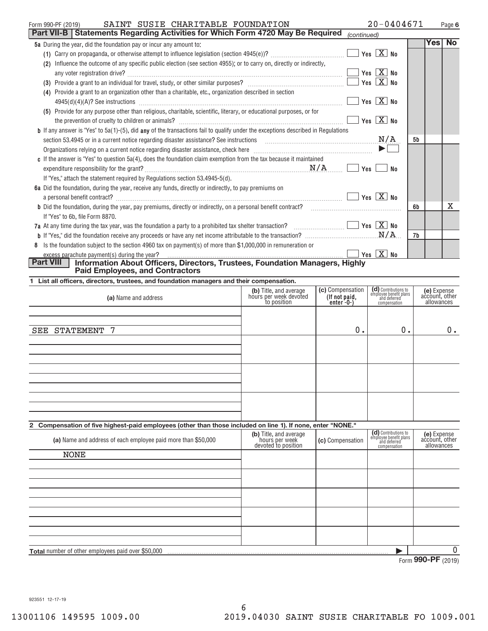| SAINT SUSIE CHARITABLE FOUNDATION<br>Form 990-PF (2019)                                                                                                                                                                                                                                                                                                                                 | $20 - 0404671$             |     | Page 6    |
|-----------------------------------------------------------------------------------------------------------------------------------------------------------------------------------------------------------------------------------------------------------------------------------------------------------------------------------------------------------------------------------------|----------------------------|-----|-----------|
| <b>Part VII-B   Statements Regarding Activities for Which Form 4720 May Be Required</b>                                                                                                                                                                                                                                                                                                 | (continued)                |     |           |
| 5a During the year, did the foundation pay or incur any amount to:                                                                                                                                                                                                                                                                                                                      |                            | Yes | <b>No</b> |
|                                                                                                                                                                                                                                                                                                                                                                                         | $Yes \quad X$ No           |     |           |
| Influence the outcome of any specific public election (see section 4955); or to carry on, directly or indirectly,<br>(2)                                                                                                                                                                                                                                                                |                            |     |           |
|                                                                                                                                                                                                                                                                                                                                                                                         | Yes $X$ No                 |     |           |
|                                                                                                                                                                                                                                                                                                                                                                                         | $Yes \quad X$ No           |     |           |
| Provide a grant to an organization other than a charitable, etc., organization described in section<br>(4)                                                                                                                                                                                                                                                                              |                            |     |           |
|                                                                                                                                                                                                                                                                                                                                                                                         | Yes $X$ No                 |     |           |
| Provide for any purpose other than religious, charitable, scientific, literary, or educational purposes, or for<br>(5)                                                                                                                                                                                                                                                                  |                            |     |           |
|                                                                                                                                                                                                                                                                                                                                                                                         | $Yes$ $X$ No               |     |           |
| <b>b</b> If any answer is "Yes" to 5a(1)-(5), did any of the transactions fail to qualify under the exceptions described in Regulations                                                                                                                                                                                                                                                 |                            |     |           |
| section 53.4945 or in a current notice regarding disaster assistance? See instructions $M/A$                                                                                                                                                                                                                                                                                            |                            | 5b  |           |
| Organizations relying on a current notice regarding disaster assistance, check here <i>macurities</i> and content to the content of the content of the content of the content of the content of the content of the content of the c                                                                                                                                                     | $\blacktriangleright \Box$ |     |           |
| c If the answer is "Yes" to question 5a(4), does the foundation claim exemption from the tax because it maintained                                                                                                                                                                                                                                                                      |                            |     |           |
| $\mathbb{N}/\mathbb{A}$ and $\mathbb{N}/\mathbb{A}$ and $\mathbb{N}/\mathbb{A}$ and $\mathbb{N}/\mathbb{A}$ and $\mathbb{N}/\mathbb{A}$ and $\mathbb{N}/\mathbb{A}$ and $\mathbb{N}/\mathbb{A}$ and $\mathbb{N}/\mathbb{A}$ and $\mathbb{N}/\mathbb{A}$ and $\mathbb{N}/\mathbb{A}$ and $\mathbb{N}/\mathbb{A}$ and $\mathbb{N}/\mathbb{A$<br>expenditure responsibility for the grant? | No                         |     |           |
| If "Yes," attach the statement required by Regulations section 53.4945-5(d).                                                                                                                                                                                                                                                                                                            |                            |     |           |
| 6a Did the foundation, during the year, receive any funds, directly or indirectly, to pay premiums on                                                                                                                                                                                                                                                                                   |                            |     |           |
| a personal benefit contract? $\ldots$ No                                                                                                                                                                                                                                                                                                                                                |                            |     |           |
| <b>b</b> Did the foundation, during the year, pay premiums, directly or indirectly, on a personal benefit contract?                                                                                                                                                                                                                                                                     |                            | 6b  | x         |
| If "Yes" to 6b, file Form 8870.                                                                                                                                                                                                                                                                                                                                                         |                            |     |           |
| 7a At any time during the tax year, was the foundation a party to a prohibited tax shelter transaction? $\Box$ $\Box$ Yes $\Box$ No                                                                                                                                                                                                                                                     |                            |     |           |
|                                                                                                                                                                                                                                                                                                                                                                                         |                            | 7b  |           |
| 8 Is the foundation subject to the section 4960 tax on payment(s) of more than \$1,000,000 in remuneration or                                                                                                                                                                                                                                                                           |                            |     |           |
| excess parachute payment(s) during the year?                                                                                                                                                                                                                                                                                                                                            |                            |     |           |
| Part VIII<br>Information About Officers, Directors, Trustees, Foundation Managers, Highly<br><b>Paid Employees, and Contractors</b>                                                                                                                                                                                                                                                     |                            |     |           |

| 1 List all officers, directors, trustees, and foundation managers and their compensation. |  |  |  |
|-------------------------------------------------------------------------------------------|--|--|--|
|                                                                                           |  |  |  |

| (a) Name and address                                                                                        | (b) Title, and average<br>hours per week devoted<br>to position | (c) Compensation<br>(If not paid,<br>enter $-0$ - $)$ | (d) Contributions to<br>employee benefit plans<br>and deferred<br>compensation | (e) Expense<br>account, other<br>allowances |
|-------------------------------------------------------------------------------------------------------------|-----------------------------------------------------------------|-------------------------------------------------------|--------------------------------------------------------------------------------|---------------------------------------------|
| STATEMENT 7<br>SEE                                                                                          |                                                                 | 0.                                                    | 0.                                                                             | 0.                                          |
|                                                                                                             |                                                                 |                                                       |                                                                                |                                             |
|                                                                                                             |                                                                 |                                                       |                                                                                |                                             |
|                                                                                                             |                                                                 |                                                       |                                                                                |                                             |
| 2 Compensation of five highest-paid employees (other than those included on line 1). If none, enter "NONE." |                                                                 |                                                       |                                                                                |                                             |
| Let Name and address of each employee paid more than CEO 000                                                | (b) Title, and average                                          | LA Companantion                                       | (d) Contributions to<br>employee benefit plans                                 | (e) Expense<br>account other                |

| (a) Name and address of each employee paid more than \$50,000 | (b) Title, and average<br>hours per week<br>devoted to position | (c) Compensation | (CI) Contributions to<br>employee benefit plans<br>and deferred<br>compensation | (e) Expense<br>account, other<br>allowances |
|---------------------------------------------------------------|-----------------------------------------------------------------|------------------|---------------------------------------------------------------------------------|---------------------------------------------|
| <b>NONE</b>                                                   |                                                                 |                  |                                                                                 |                                             |
|                                                               |                                                                 |                  |                                                                                 |                                             |
|                                                               |                                                                 |                  |                                                                                 |                                             |
|                                                               |                                                                 |                  |                                                                                 |                                             |
|                                                               |                                                                 |                  |                                                                                 |                                             |
|                                                               |                                                                 |                  |                                                                                 |                                             |
|                                                               |                                                                 |                  |                                                                                 |                                             |
| <b>Total</b> number of other employees paid over \$50,000     |                                                                 |                  |                                                                                 | 0                                           |
|                                                               |                                                                 |                  | $\overline{\phantom{0}}$                                                        | $000 \n\overline{DE}$ $(0.016)$             |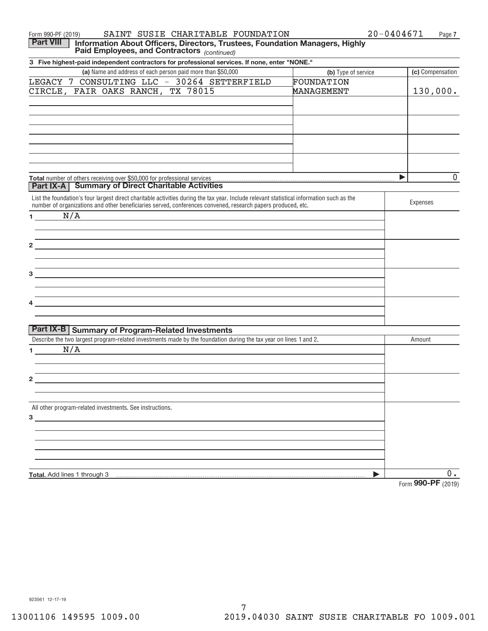| SAINT SUSIE CHARITABLE FOUNDATION<br>Form 990-PF (2019)                                                                                                                                                                       |                     | 20-0404671<br>Page 7         |
|-------------------------------------------------------------------------------------------------------------------------------------------------------------------------------------------------------------------------------|---------------------|------------------------------|
| <b>Part VIII</b><br>Information About Officers, Directors, Trustees, Foundation Managers, Highly<br>Paid Employees, and Contractors (continued)                                                                               |                     |                              |
| 3 Five highest-paid independent contractors for professional services. If none, enter "NONE."                                                                                                                                 |                     |                              |
| (a) Name and address of each person paid more than \$50,000                                                                                                                                                                   | (b) Type of service | (c) Compensation             |
| LEGACY 7 CONSULTING LLC - 30264 SETTERFIELD                                                                                                                                                                                   | FOUNDATION          |                              |
| CIRCLE, FAIR OAKS RANCH, TX 78015                                                                                                                                                                                             | MANAGEMENT          | 130,000.                     |
|                                                                                                                                                                                                                               |                     |                              |
|                                                                                                                                                                                                                               |                     |                              |
|                                                                                                                                                                                                                               |                     |                              |
|                                                                                                                                                                                                                               |                     |                              |
|                                                                                                                                                                                                                               |                     |                              |
|                                                                                                                                                                                                                               |                     |                              |
|                                                                                                                                                                                                                               |                     |                              |
|                                                                                                                                                                                                                               |                     | $\mathbf 0$<br>▶             |
| <b>Part IX-A</b> Summary of Direct Charitable Activities                                                                                                                                                                      |                     |                              |
| List the foundation's four largest direct charitable activities during the tax year. Include relevant statistical information such as the                                                                                     |                     | Expenses                     |
| number of organizations and other beneficiaries served, conferences convened, research papers produced, etc.                                                                                                                  |                     |                              |
| N/A<br>$1 - 1$                                                                                                                                                                                                                |                     |                              |
|                                                                                                                                                                                                                               |                     |                              |
| the control of the control of the control of the control of the control of the control of the control of the control of the control of the control of the control of the control of the control of the control of the control |                     |                              |
| <u> 1989 - Johann Harry Harry Harry Harry Harry Harry Harry Harry Harry Harry Harry Harry Harry Harry Harry Harry</u>                                                                                                         |                     |                              |
| <u> 1989 - Johann Stoff, deutscher Stoff, der Stoff, der Stoff, der Stoff, der Stoff, der Stoff, der Stoff, der S</u>                                                                                                         |                     |                              |
|                                                                                                                                                                                                                               |                     |                              |
|                                                                                                                                                                                                                               |                     |                              |
| <u> 1989 - Johann Stoff, amerikansk politiker (d. 1989)</u>                                                                                                                                                                   |                     |                              |
| <u> 1989 - Johann John Stone, markin film yn y brenin y brenin y brenin y brenin y brenin y brenin y brenin y br</u>                                                                                                          |                     |                              |
|                                                                                                                                                                                                                               |                     |                              |
| Part IX-B   Summary of Program-Related Investments                                                                                                                                                                            |                     |                              |
| Describe the two largest program-related investments made by the foundation during the tax year on lines 1 and 2.                                                                                                             |                     | Amount                       |
| N/A<br>1 $\sim$                                                                                                                                                                                                               |                     |                              |
|                                                                                                                                                                                                                               |                     |                              |
|                                                                                                                                                                                                                               |                     |                              |
|                                                                                                                                                                                                                               |                     |                              |
|                                                                                                                                                                                                                               |                     |                              |
|                                                                                                                                                                                                                               |                     |                              |
| All other program-related investments. See instructions.                                                                                                                                                                      |                     |                              |
| $\overline{\textbf{3}}$ $\overline{\textbf{1}}$                                                                                                                                                                               |                     |                              |
|                                                                                                                                                                                                                               |                     |                              |
|                                                                                                                                                                                                                               |                     |                              |
|                                                                                                                                                                                                                               |                     |                              |
|                                                                                                                                                                                                                               |                     |                              |
| Total. Add lines 1 through 3                                                                                                                                                                                                  | ▶                   | $0$ .                        |
|                                                                                                                                                                                                                               |                     | $F = 000 \text{ DE } (0010)$ |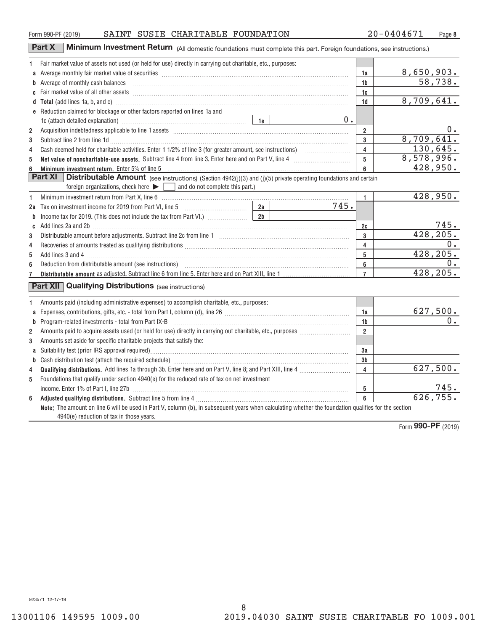### Form 990-PF (2019) BAINT SUSIE CHARITABLE FOUNDATION  $20-0404671$  Page

**Part X** Minimum Investment Return (All domestic foundations must complete this part. Foreign foundations, see instructions.)

| 1              | Fair market value of assets not used (or held for use) directly in carrying out charitable, etc., purposes:                                                                                                                             |                         |                       |
|----------------|-----------------------------------------------------------------------------------------------------------------------------------------------------------------------------------------------------------------------------------------|-------------------------|-----------------------|
|                |                                                                                                                                                                                                                                         | 1a                      | 8,650,903.            |
|                | <b>b</b> Average of monthly cash balances                                                                                                                                                                                               | 1b                      | 58,738.               |
|                |                                                                                                                                                                                                                                         | 1c                      |                       |
|                | d Total (add lines 1a, b, and c) manufactured and control and control of the control of the control of the control of the control of the control of the control of the control of the control of the control of the control of          | 1d                      | 8,709,641.            |
|                | e Reduction claimed for blockage or other factors reported on lines 1a and                                                                                                                                                              |                         |                       |
|                | $0$ .<br>1c (attach detailed explanation) manufactured contract the last set of the last set of the last set of the last set of the last set of the last set of the last set of the last set of the last set of the last set of the las |                         |                       |
| $\overline{2}$ |                                                                                                                                                                                                                                         | $\overline{\mathbf{2}}$ | 0.                    |
| 3              | Subtract line 2 from line 1d <b>Machinese and Contract Line 2</b> from line 1d <b>machinese and contract line 2</b> from line 1d                                                                                                        | $\mathbf{3}$            | 8,709,641.            |
| 4              |                                                                                                                                                                                                                                         | $\overline{4}$          | 130,645.              |
| 5              | Net value of noncharitable-use assets. Subtract line 4 from line 3. Enter here and on Part V, line 4 [11, 11]                                                                                                                           | 5 <sup>5</sup>          | 8,578,996.            |
| 6              | Minimum investment return. Enter 5% of line 5 [11] Minimum and the contract of the state of the state of the state of the state of the state of the state of the state of the state of the state of the state of the state of           | 6                       | 428,950.              |
|                | <b>Part XI</b> Distributable Amount (see instructions) (Section 4942(j)(3) and (j)(5) private operating foundations and certain                                                                                                         |                         |                       |
|                | foreign organizations, check here $\blacktriangleright \Box$ and do not complete this part.)                                                                                                                                            |                         |                       |
| 1              |                                                                                                                                                                                                                                         | $\mathbf{1}$            | 428,950.              |
| 2a             | 745.                                                                                                                                                                                                                                    |                         |                       |
| b              | 2 <sub>b</sub><br>Income tax for 2019. (This does not include the tax from Part VI.)                                                                                                                                                    |                         |                       |
| C              | Add lines 2a and 2b [11] matter contract the contract of the contract of the contract of the contract of the contract of the contract of the contract of the contract of the contract of the contract of the contract of the c          | 2c                      | $\frac{745}{428,205}$ |
| 3              |                                                                                                                                                                                                                                         | 3                       |                       |
| 4              |                                                                                                                                                                                                                                         | 4                       |                       |
| 5              |                                                                                                                                                                                                                                         | 5                       | 428, 205.             |
| 6              |                                                                                                                                                                                                                                         | 6                       |                       |
| 7              |                                                                                                                                                                                                                                         | $\overline{7}$          | 428, 205.             |
|                | <b>Part XII</b> Qualifying Distributions (see instructions)                                                                                                                                                                             |                         |                       |
|                | Amounts paid (including administrative expenses) to accomplish charitable, etc., purposes:                                                                                                                                              |                         |                       |
|                |                                                                                                                                                                                                                                         | 1a                      | 627,500.              |
| b              | Program-related investments - total from Part IX-B                                                                                                                                                                                      | 1 <sub>b</sub>          | $\overline{0}$ .      |
| $\overline{2}$ |                                                                                                                                                                                                                                         | $\overline{2}$          |                       |
| 3              | Amounts set aside for specific charitable projects that satisfy the:                                                                                                                                                                    |                         |                       |
| a              |                                                                                                                                                                                                                                         | За                      |                       |
| b              |                                                                                                                                                                                                                                         | 3 <sub>b</sub>          |                       |
| 4              |                                                                                                                                                                                                                                         | 4                       | 627,500.              |
| 5              | Foundations that qualify under section 4940(e) for the reduced rate of tax on net investment                                                                                                                                            |                         |                       |
|                |                                                                                                                                                                                                                                         | 5                       | 745.                  |
| 6              |                                                                                                                                                                                                                                         | $6\phantom{a}$          | 626, 755.             |
|                | Note: The amount on line 6 will be used in Part V, column (b), in subsequent years when calculating whether the foundation qualifies for the section                                                                                    |                         |                       |
|                | 4940(e) reduction of tax in those years.                                                                                                                                                                                                |                         |                       |

8

Form (2019) **990‐PF**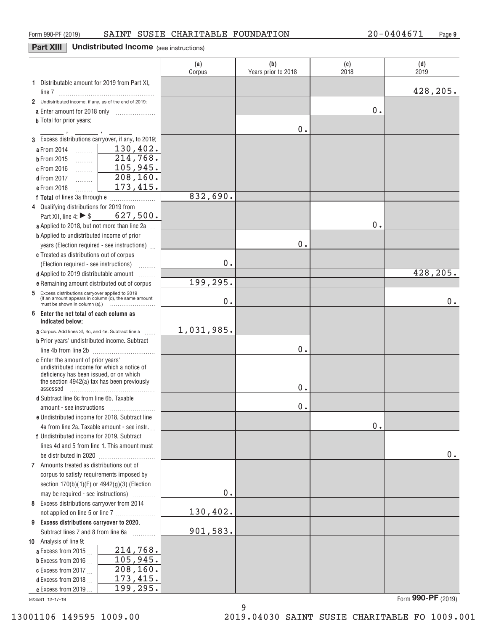### **Part XIII** Undistributed Income (see instructions)

|                                                                                                             | (a)<br>Corpus | (b)<br>Years prior to 2018 | (c)<br>2018 | (d)<br>2019 |
|-------------------------------------------------------------------------------------------------------------|---------------|----------------------------|-------------|-------------|
| 1 Distributable amount for 2019 from Part XI,                                                               |               |                            |             |             |
|                                                                                                             |               |                            |             | 428,205.    |
| 2 Undistributed income, if any, as of the end of 2019:                                                      |               |                            |             |             |
|                                                                                                             |               |                            | 0.          |             |
| <b>b</b> Total for prior years:                                                                             |               | 0.                         |             |             |
| 3 Excess distributions carryover, if any, to 2019:                                                          |               |                            |             |             |
| 130, 402.<br>a From 2014<br>$\frac{1}{2}$                                                                   |               |                            |             |             |
| $\overline{214,768}$ .<br><b>b</b> From 2015<br>.                                                           |               |                            |             |             |
| 105,945.<br>c From 2016<br>.                                                                                |               |                            |             |             |
| 208, 160.<br><b>d</b> From 2017<br>.                                                                        |               |                            |             |             |
| 173,415.<br>e From 2018<br>.                                                                                |               |                            |             |             |
|                                                                                                             | 832,690.      |                            |             |             |
| 4 Qualifying distributions for 2019 from                                                                    |               |                            |             |             |
| Part XII, line 4: ▶ $\$\$$ 627, 500.                                                                        |               |                            |             |             |
| a Applied to 2018, but not more than line 2a                                                                |               |                            | 0.          |             |
| <b>b</b> Applied to undistributed income of prior                                                           |               |                            |             |             |
| years (Election required - see instructions)                                                                |               | 0.                         |             |             |
| c Treated as distributions out of corpus                                                                    |               |                            |             |             |
| (Election required - see instructions)                                                                      | 0.            |                            |             |             |
| d Applied to 2019 distributable amount                                                                      |               |                            |             | 428,205.    |
| e Remaining amount distributed out of corpus                                                                | 199,295.      |                            |             |             |
| Excess distributions carryover applied to 2019<br>5<br>(If an amount appears in column (d), the same amount | 0.            |                            |             | 0.          |
| 6<br>Enter the net total of each column as<br>indicated below:                                              |               |                            |             |             |
| <b>a</b> Corpus. Add lines 3f, 4c, and 4e. Subtract line 5                                                  | 1,031,985.    |                            |             |             |
| <b>b</b> Prior years' undistributed income. Subtract                                                        |               |                            |             |             |
|                                                                                                             |               | 0.                         |             |             |
| c Enter the amount of prior years'                                                                          |               |                            |             |             |
| undistributed income for which a notice of<br>deficiency has been issued, or on which                       |               |                            |             |             |
| the section 4942(a) tax has been previously                                                                 |               |                            |             |             |
| assessed                                                                                                    |               | 0.                         |             |             |
| d Subtract line 6c from line 6b. Taxable                                                                    |               |                            |             |             |
|                                                                                                             |               | 0.                         |             |             |
| e Undistributed income for 2018. Subtract line                                                              |               |                            |             |             |
| 4a from line 2a. Taxable amount - see instr.                                                                |               |                            | $0$ .       |             |
| f Undistributed income for 2019. Subtract                                                                   |               |                            |             |             |
| lines 4d and 5 from line 1. This amount must                                                                |               |                            |             |             |
|                                                                                                             |               |                            |             | 0.          |
| 7 Amounts treated as distributions out of                                                                   |               |                            |             |             |
| corpus to satisfy requirements imposed by                                                                   |               |                            |             |             |
| section 170(b)(1)(F) or 4942(g)(3) (Election                                                                | $0$ .         |                            |             |             |
| may be required - see instructions)                                                                         |               |                            |             |             |
| 8 Excess distributions carryover from 2014                                                                  | 130,402.      |                            |             |             |
| 9 Excess distributions carryover to 2020.                                                                   |               |                            |             |             |
| Subtract lines 7 and 8 from line 6a                                                                         | 901,583.      |                            |             |             |
| .<br>10 Analysis of line 9:                                                                                 |               |                            |             |             |
| 214,768.<br>a Excess from 2015                                                                              |               |                            |             |             |
| 105,945.<br><b>b</b> Excess from 2016                                                                       |               |                            |             |             |
| 208, 160.<br>c Excess from 2017                                                                             |               |                            |             |             |
| 173,415.<br><b>d</b> Excess from 2018                                                                       |               |                            |             |             |
| 199,295.<br>e Excess from 2019.                                                                             |               |                            |             |             |

9

923581 12‐17‐19

Form (2019) **990‐PF**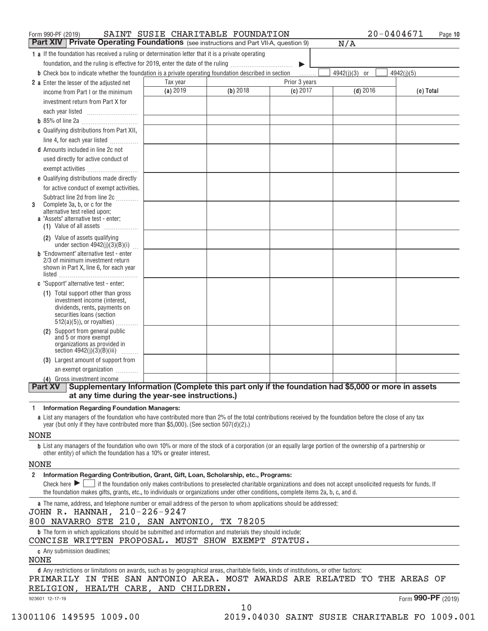| <b>Part XIV   Private Operating Foundations</b> (see instructions and Part VII-A, question 9)                                                                        |                                                                                                                                           |          |               | N/A             |                    |
|----------------------------------------------------------------------------------------------------------------------------------------------------------------------|-------------------------------------------------------------------------------------------------------------------------------------------|----------|---------------|-----------------|--------------------|
| <b>1</b> a If the foundation has received a ruling or determination letter that it is a private operating                                                            |                                                                                                                                           |          |               |                 |                    |
| foundation, and the ruling is effective for 2019, enter the date of the ruling                                                                                       |                                                                                                                                           |          | ▶             |                 |                    |
| <b>b</b> Check box to indicate whether the foundation is a private operating foundation described in section                                                         |                                                                                                                                           |          |               | $4942(j)(3)$ or | 4942(j)(5)         |
| <b>2</b> a Enter the lesser of the adiusted net                                                                                                                      | Tax year                                                                                                                                  |          | Prior 3 years |                 |                    |
| income from Part I or the minimum                                                                                                                                    | (a) 2019                                                                                                                                  | (b) 2018 | (c) 2017      | $(d)$ 2016      | (e) Total          |
| investment return from Part X for                                                                                                                                    |                                                                                                                                           |          |               |                 |                    |
|                                                                                                                                                                      |                                                                                                                                           |          |               |                 |                    |
|                                                                                                                                                                      |                                                                                                                                           |          |               |                 |                    |
| c Qualifying distributions from Part XII,                                                                                                                            |                                                                                                                                           |          |               |                 |                    |
| line 4, for each year listed                                                                                                                                         |                                                                                                                                           |          |               |                 |                    |
| <b>d</b> Amounts included in line 2c not                                                                                                                             |                                                                                                                                           |          |               |                 |                    |
| used directly for active conduct of                                                                                                                                  |                                                                                                                                           |          |               |                 |                    |
| exempt activities                                                                                                                                                    |                                                                                                                                           |          |               |                 |                    |
| e Qualifying distributions made directly                                                                                                                             |                                                                                                                                           |          |               |                 |                    |
| for active conduct of exempt activities.                                                                                                                             |                                                                                                                                           |          |               |                 |                    |
| Subtract line 2d from line 2c<br>Complete 3a, b, or c for the<br>3                                                                                                   |                                                                                                                                           |          |               |                 |                    |
| alternative test relied upon:                                                                                                                                        |                                                                                                                                           |          |               |                 |                    |
| <b>a</b> "Assets" alternative test - enter:                                                                                                                          |                                                                                                                                           |          |               |                 |                    |
| (1) Value of all assets                                                                                                                                              |                                                                                                                                           |          |               |                 |                    |
| (2) Value of assets qualifying<br>under section $4942(j)(3)(B)(i)$                                                                                                   |                                                                                                                                           |          |               |                 |                    |
| <b>b</b> "Endowment" alternative test - enter<br>2/3 of minimum investment return                                                                                    |                                                                                                                                           |          |               |                 |                    |
| shown in Part X, line 6, for each year                                                                                                                               |                                                                                                                                           |          |               |                 |                    |
|                                                                                                                                                                      |                                                                                                                                           |          |               |                 |                    |
| c "Support" alternative test - enter:                                                                                                                                |                                                                                                                                           |          |               |                 |                    |
| (1) Total support other than gross                                                                                                                                   |                                                                                                                                           |          |               |                 |                    |
| investment income (interest,<br>dividends, rents, payments on                                                                                                        |                                                                                                                                           |          |               |                 |                    |
| securities loans (section                                                                                                                                            |                                                                                                                                           |          |               |                 |                    |
| $512(a)(5)$ , or royalties)                                                                                                                                          |                                                                                                                                           |          |               |                 |                    |
| (2) Support from general public<br>and 5 or more exempt                                                                                                              |                                                                                                                                           |          |               |                 |                    |
| organizations as provided in                                                                                                                                         |                                                                                                                                           |          |               |                 |                    |
| section $4942(j)(3)(B)(iii)$<br>.                                                                                                                                    |                                                                                                                                           |          |               |                 |                    |
| (3) Largest amount of support from                                                                                                                                   |                                                                                                                                           |          |               |                 |                    |
| an exempt organization                                                                                                                                               |                                                                                                                                           |          |               |                 |                    |
| (4) Gross investment income<br>Supplementary Information (Complete this part only if the foundation had \$5,000 or more in assets<br><b>Part XV</b>                  |                                                                                                                                           |          |               |                 |                    |
| at any time during the year-see instructions.)                                                                                                                       |                                                                                                                                           |          |               |                 |                    |
| <b>Information Regarding Foundation Managers:</b><br>-1                                                                                                              |                                                                                                                                           |          |               |                 |                    |
| a List any managers of the foundation who have contributed more than 2% of the total contributions received by the foundation before the close of any tax            |                                                                                                                                           |          |               |                 |                    |
| year (but only if they have contributed more than \$5,000). (See section 507(d)(2).)                                                                                 |                                                                                                                                           |          |               |                 |                    |
| NONE                                                                                                                                                                 |                                                                                                                                           |          |               |                 |                    |
| <b>b</b> List any managers of the foundation who own 10% or more of the stock of a corporation (or an equally large portion of the ownership of a partnership or     |                                                                                                                                           |          |               |                 |                    |
| other entity) of which the foundation has a 10% or greater interest.                                                                                                 |                                                                                                                                           |          |               |                 |                    |
| NONE                                                                                                                                                                 |                                                                                                                                           |          |               |                 |                    |
| Information Regarding Contribution, Grant, Gift, Loan, Scholarship, etc., Programs:<br>$\mathbf{2}$                                                                  |                                                                                                                                           |          |               |                 |                    |
| Check here $\blacktriangleright$                                                                                                                                     | if the foundation only makes contributions to preselected charitable organizations and does not accept unsolicited requests for funds. If |          |               |                 |                    |
| the foundation makes gifts, grants, etc., to individuals or organizations under other conditions, complete items 2a, b, c, and d.                                    |                                                                                                                                           |          |               |                 |                    |
| a The name, address, and telephone number or email address of the person to whom applications should be addressed:                                                   |                                                                                                                                           |          |               |                 |                    |
| JOHN R. HANNAH, 210-226-9247                                                                                                                                         |                                                                                                                                           |          |               |                 |                    |
| 800 NAVARRO STE 210, SAN ANTONIO, TX 78205                                                                                                                           |                                                                                                                                           |          |               |                 |                    |
| <b>b</b> The form in which applications should be submitted and information and materials they should include:<br>CONCISE WRITTEN PROPOSAL. MUST SHOW EXEMPT STATUS. |                                                                                                                                           |          |               |                 |                    |
| <b>c</b> Any submission deadlines:<br>NONE                                                                                                                           |                                                                                                                                           |          |               |                 |                    |
| d Any restrictions or limitations on awards, such as by geographical areas, charitable fields, kinds of institutions, or other factors:                              |                                                                                                                                           |          |               |                 |                    |
| PRIMARILY IN THE SAN ANTONIO AREA. MOST AWARDS ARE RELATED TO THE AREAS OF                                                                                           |                                                                                                                                           |          |               |                 |                    |
| RELIGION, HEALTH CARE, AND CHILDREN.                                                                                                                                 |                                                                                                                                           |          |               |                 |                    |
| 923601 12-17-19                                                                                                                                                      |                                                                                                                                           |          |               |                 | Form 990-PF (2019) |
|                                                                                                                                                                      |                                                                                                                                           | 10       |               |                 |                    |

Form 990-PF (2019) BAINT SUSIE CHARITABLE FOUNDATION  $20-0404671$  Page

13001106 149595 1009.00 2019.04030 SAINT SUSIE CHARITABLE FO 1009.001

**Page 10**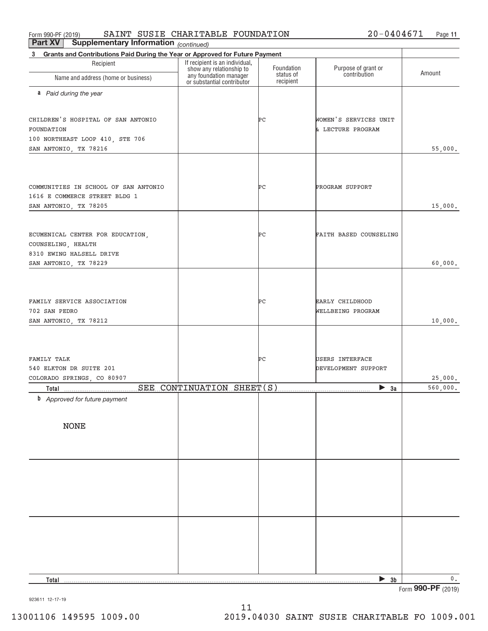Form 990-PF (2019) SAINT SUSIE CHARITABLE FOUNDATION  $20-0404671$  Page SAINT SUSIE CHARITABLE FOUNDATION  $20-0404671$ 

*(continued)* **Part XV** Supplementary Information

| Grants and Contributions Paid During the Year or Approved for Future Payment<br>3 |                                                                                                                    |                        |                                      |                    |  |
|-----------------------------------------------------------------------------------|--------------------------------------------------------------------------------------------------------------------|------------------------|--------------------------------------|--------------------|--|
| Recipient                                                                         |                                                                                                                    | Foundation             |                                      |                    |  |
| Name and address (home or business)                                               | If recipient is an individual,<br>show any relationship to<br>any foundation manager<br>or substantial contributor | status of<br>recipient | Purpose of grant or<br>contribution  | Amount             |  |
| a Paid during the year                                                            |                                                                                                                    |                        |                                      |                    |  |
|                                                                                   |                                                                                                                    |                        |                                      |                    |  |
| CHILDREN'S HOSPITAL OF SAN ANTONIO                                                |                                                                                                                    | PС                     | WOMEN'S SERVICES UNIT                |                    |  |
| FOUNDATION                                                                        |                                                                                                                    |                        | & LECTURE PROGRAM                    |                    |  |
| 100 NORTHEAST LOOP 410, STE 706                                                   |                                                                                                                    |                        |                                      |                    |  |
| SAN ANTONIO, TX 78216                                                             |                                                                                                                    |                        |                                      | 55,000.            |  |
|                                                                                   |                                                                                                                    |                        |                                      |                    |  |
| COMMUNITIES IN SCHOOL OF SAN ANTONIO                                              |                                                                                                                    | PС                     | PROGRAM SUPPORT                      |                    |  |
| 1616 E COMMERCE STREET BLDG 1                                                     |                                                                                                                    |                        |                                      |                    |  |
| SAN ANTONIO, TX 78205                                                             |                                                                                                                    |                        |                                      | 15,000.            |  |
|                                                                                   |                                                                                                                    |                        |                                      |                    |  |
| ECUMENICAL CENTER FOR EDUCATION,                                                  |                                                                                                                    | ÞС                     | FAITH BASED COUNSELING               |                    |  |
| COUNSELING, HEALTH                                                                |                                                                                                                    |                        |                                      |                    |  |
| 8310 EWING HALSELL DRIVE                                                          |                                                                                                                    |                        |                                      |                    |  |
| SAN ANTONIO, TX 78229                                                             |                                                                                                                    |                        |                                      | 60,000.            |  |
|                                                                                   |                                                                                                                    |                        |                                      |                    |  |
|                                                                                   |                                                                                                                    |                        |                                      |                    |  |
| FAMILY SERVICE ASSOCIATION<br>702 SAN PEDRO                                       |                                                                                                                    | PС                     | EARLY CHILDHOOD<br>WELLBEING PROGRAM |                    |  |
| SAN ANTONIO, TX 78212                                                             |                                                                                                                    |                        |                                      | 10,000.            |  |
|                                                                                   |                                                                                                                    |                        |                                      |                    |  |
|                                                                                   |                                                                                                                    |                        |                                      |                    |  |
| FAMILY TALK                                                                       |                                                                                                                    | PС                     | USERS INTERFACE                      |                    |  |
| 540 ELKTON DR SUITE 201                                                           |                                                                                                                    |                        | DEVELOPMENT SUPPORT                  |                    |  |
| COLORADO SPRINGS, CO 80907                                                        |                                                                                                                    |                        |                                      | 25,000.            |  |
| Total                                                                             | SEE CONTINUATION SHEET(S)                                                                                          |                        | $\triangleright$ 3a                  | 560,000.           |  |
| <b>b</b> Approved for future payment                                              |                                                                                                                    |                        |                                      |                    |  |
|                                                                                   |                                                                                                                    |                        |                                      |                    |  |
| <b>NONE</b>                                                                       |                                                                                                                    |                        |                                      |                    |  |
|                                                                                   |                                                                                                                    |                        |                                      |                    |  |
|                                                                                   |                                                                                                                    |                        |                                      |                    |  |
|                                                                                   |                                                                                                                    |                        |                                      |                    |  |
|                                                                                   |                                                                                                                    |                        |                                      |                    |  |
|                                                                                   |                                                                                                                    |                        |                                      |                    |  |
|                                                                                   |                                                                                                                    |                        |                                      |                    |  |
|                                                                                   |                                                                                                                    |                        |                                      |                    |  |
|                                                                                   |                                                                                                                    |                        |                                      |                    |  |
|                                                                                   |                                                                                                                    |                        |                                      |                    |  |
|                                                                                   |                                                                                                                    |                        |                                      |                    |  |
| Total                                                                             |                                                                                                                    |                        | 3 <sub>b</sub><br>▶                  | $0$ .              |  |
|                                                                                   |                                                                                                                    |                        |                                      | Form 990-PF (2019) |  |

923611 12‐17‐19

11 13001106 149595 1009.00 2019.04030 SAINT SUSIE CHARITABLE FO 1009.001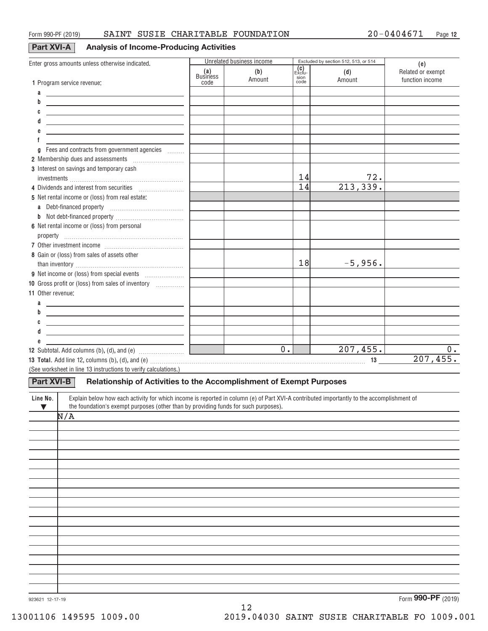### **Part XVI‐A Analysis of Income‐Producing Activities**

|                                                                                                                                                       |                        | Unrelated business income |                        | Excluded by section 512, 513, or 514 |                                             |
|-------------------------------------------------------------------------------------------------------------------------------------------------------|------------------------|---------------------------|------------------------|--------------------------------------|---------------------------------------------|
| Enter gross amounts unless otherwise indicated.                                                                                                       | (a)<br><b>Business</b> | (b)<br>Amount             | (c)<br>Ex̀cſu-<br>sion | (d)<br>Amount                        | (e)<br>Related or exempt<br>function income |
| 1 Program service revenue:                                                                                                                            | code                   |                           | code                   |                                      |                                             |
| а<br><u> 1989 - Johann Barn, fransk politik amerikansk politik (</u>                                                                                  |                        |                           |                        |                                      |                                             |
| b<br>the control of the control of the control of the control of the control of the control of                                                        |                        |                           |                        |                                      |                                             |
| the control of the control of the control of the control of the control of the control of                                                             |                        |                           |                        |                                      |                                             |
| <u> 1989 - Johann Stein, mars an deutscher Stein und der Stein und der Stein und der Stein und der Stein und der</u>                                  |                        |                           |                        |                                      |                                             |
| <u> 1989 - Johann Barbara, martxa alemaniar arg</u><br>f                                                                                              |                        |                           |                        |                                      |                                             |
| Fees and contracts from government agencies                                                                                                           |                        |                           |                        |                                      |                                             |
| a                                                                                                                                                     |                        |                           |                        |                                      |                                             |
| 3 Interest on savings and temporary cash                                                                                                              |                        |                           |                        |                                      |                                             |
|                                                                                                                                                       |                        |                           | 14                     | 72.                                  |                                             |
| 4 Dividends and interest from securities                                                                                                              |                        |                           | 14                     | 213,339.                             |                                             |
| 5 Net rental income or (loss) from real estate:                                                                                                       |                        |                           |                        |                                      |                                             |
| Debt-financed property [11] [11] Debt-financed property<br>a                                                                                          |                        |                           |                        |                                      |                                             |
|                                                                                                                                                       |                        |                           |                        |                                      |                                             |
| 6 Net rental income or (loss) from personal                                                                                                           |                        |                           |                        |                                      |                                             |
|                                                                                                                                                       |                        |                           |                        |                                      |                                             |
|                                                                                                                                                       |                        |                           |                        |                                      |                                             |
| 8 Gain or (loss) from sales of assets other                                                                                                           |                        |                           |                        |                                      |                                             |
|                                                                                                                                                       |                        |                           | 18                     | $-5,956.$                            |                                             |
|                                                                                                                                                       |                        |                           |                        |                                      |                                             |
| 10 Gross profit or (loss) from sales of inventory                                                                                                     |                        |                           |                        |                                      |                                             |
| <b>11 Other revenue:</b>                                                                                                                              |                        |                           |                        |                                      |                                             |
| <u> 1989 - Johann Stoff, Amerikaansk politiker († 1908)</u>                                                                                           |                        |                           |                        |                                      |                                             |
| <u> 1989 - Johann John Stein, mars and de British and de British and de British and de British and de British an</u>                                  |                        |                           |                        |                                      |                                             |
| <u> 1989 - Johann Barn, mars an t-Amerikaansk politiker (</u>                                                                                         |                        |                           |                        |                                      |                                             |
|                                                                                                                                                       |                        |                           |                        |                                      |                                             |
|                                                                                                                                                       |                        |                           |                        |                                      |                                             |
|                                                                                                                                                       |                        | $\overline{0}$ .          |                        | 207, 455.                            | $0$ .                                       |
|                                                                                                                                                       |                        |                           |                        |                                      | 207,455.                                    |
| (See worksheet in line 13 instructions to verify calculations.)                                                                                       |                        |                           |                        |                                      |                                             |
| <b>Part XVI-B</b><br>Relationship of Activities to the Accomplishment of Exempt Purposes                                                              |                        |                           |                        |                                      |                                             |
| Explain below how each activity for which income is reported in column (e) of Part XVI-A contributed importantly to the accomplishment of<br>Line No. |                        |                           |                        |                                      |                                             |
| the foundation's exempt purposes (other than by providing funds for such purposes).<br>$\blacktriangledown$<br>N/A                                    |                        |                           |                        |                                      |                                             |
|                                                                                                                                                       |                        |                           |                        |                                      |                                             |
|                                                                                                                                                       |                        |                           |                        |                                      |                                             |
|                                                                                                                                                       |                        |                           |                        |                                      |                                             |
|                                                                                                                                                       |                        |                           |                        |                                      |                                             |
|                                                                                                                                                       |                        |                           |                        |                                      |                                             |
|                                                                                                                                                       |                        |                           |                        |                                      |                                             |
|                                                                                                                                                       |                        |                           |                        |                                      |                                             |
|                                                                                                                                                       |                        |                           |                        |                                      |                                             |
|                                                                                                                                                       |                        |                           |                        |                                      |                                             |
|                                                                                                                                                       |                        |                           |                        |                                      |                                             |
|                                                                                                                                                       |                        |                           |                        |                                      |                                             |
|                                                                                                                                                       |                        |                           |                        |                                      |                                             |
|                                                                                                                                                       |                        |                           |                        |                                      |                                             |
|                                                                                                                                                       |                        |                           |                        |                                      |                                             |
|                                                                                                                                                       |                        |                           |                        |                                      |                                             |

12

923621 12‐17‐19

Form (2019) **990‐PF**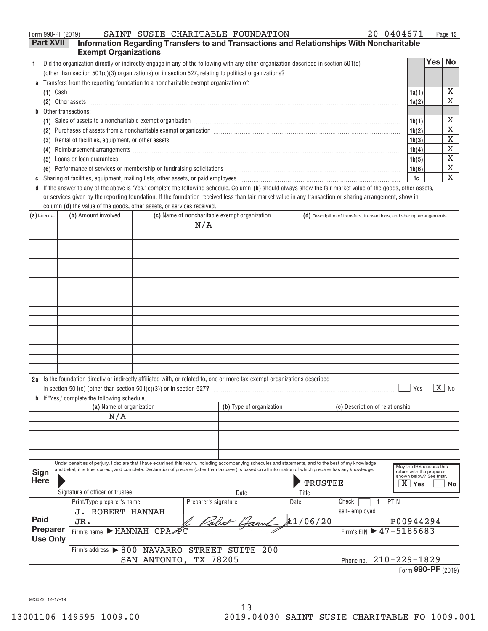|    | $20 - 0404671$<br>SAINT SUSIE CHARITABLE FOUNDATION<br>Form 990-PF (2019)                                                                                                                                                             |       | Page 13  |
|----|---------------------------------------------------------------------------------------------------------------------------------------------------------------------------------------------------------------------------------------|-------|----------|
|    | <b>Part XVII</b><br>Information Regarding Transfers to and Transactions and Relationships With Noncharitable                                                                                                                          |       |          |
|    | <b>Exempt Organizations</b>                                                                                                                                                                                                           |       |          |
|    | Did the organization directly or indirectly engage in any of the following with any other organization described in section 501(c)                                                                                                    |       | Yes   No |
|    | (other than section $501(c)(3)$ organizations) or in section 527, relating to political organizations?                                                                                                                                |       |          |
| a  | Transfers from the reporting foundation to a noncharitable exempt organization of:                                                                                                                                                    |       |          |
|    | $(1)$ Cash                                                                                                                                                                                                                            | 1a(1) | х        |
|    |                                                                                                                                                                                                                                       | 1a(2) | X        |
| b. | Other transactions:                                                                                                                                                                                                                   |       |          |
|    |                                                                                                                                                                                                                                       | 1b(1) | X        |
|    | Purchases of assets from a noncharitable exempt organization [11] manufacture manufacture contraction and annufacture manufacture exempt organization [11] manufacture manufacture exempt or game in the set of the set of the<br>(2) | 1b(2) | X        |
|    | (3)                                                                                                                                                                                                                                   | 1b(3) | X        |
|    | Reimbursement arrangements [111] March 2014 (2015) 2014 (2016) 2014 2015 2016 2017 2018 2019 2014 2015 2016 20<br>(4)                                                                                                                 | 1b(4) | X        |
|    | (5)                                                                                                                                                                                                                                   | 1b(5) | X        |
|    | (6) Performance of services or membership or fundraising solicitations [11] non-content content and content of the performance of services or membership or fundraising solicitations [11] non-content and content of the perf        | 1b(6) | X        |
| C  |                                                                                                                                                                                                                                       | 1c    | X        |
| d  | If the answer to any of the above is "Yes," complete the following schedule. Column (b) should always show the fair market value of the goods, other assets,                                                                          |       |          |
|    | or services given by the reporting foundation. If the foundation received less than fair market value in any transaction or sharing arrangement, show in                                                                              |       |          |

|                |                     | column ( <b>d</b> ) the value of the goods, other assets, or services received.                                                                                                                                                                      |                                                                      |
|----------------|---------------------|------------------------------------------------------------------------------------------------------------------------------------------------------------------------------------------------------------------------------------------------------|----------------------------------------------------------------------|
| $(a)$ Line no. | (b) Amount involved | (c) Name of noncharitable exempt organization                                                                                                                                                                                                        | (d) Description of transfers, transactions, and sharing arrangements |
|                |                     | N/A                                                                                                                                                                                                                                                  |                                                                      |
|                |                     |                                                                                                                                                                                                                                                      |                                                                      |
|                |                     |                                                                                                                                                                                                                                                      |                                                                      |
|                |                     |                                                                                                                                                                                                                                                      |                                                                      |
|                |                     |                                                                                                                                                                                                                                                      |                                                                      |
|                |                     |                                                                                                                                                                                                                                                      |                                                                      |
|                |                     |                                                                                                                                                                                                                                                      |                                                                      |
|                |                     |                                                                                                                                                                                                                                                      |                                                                      |
|                |                     |                                                                                                                                                                                                                                                      |                                                                      |
|                |                     |                                                                                                                                                                                                                                                      |                                                                      |
|                |                     |                                                                                                                                                                                                                                                      |                                                                      |
|                |                     |                                                                                                                                                                                                                                                      |                                                                      |
|                |                     |                                                                                                                                                                                                                                                      |                                                                      |
|                |                     |                                                                                                                                                                                                                                                      |                                                                      |
|                |                     |                                                                                                                                                                                                                                                      |                                                                      |
|                |                     |                                                                                                                                                                                                                                                      |                                                                      |
|                |                     | 2a Is the foundation directly or indirectly affiliated with, or related to, one or more tax-exempt organizations described<br>$\mathcal{L}$ . Four $\mathcal{L}$ and $\mathcal{L}$ . Four $\mathcal{L}$ and $\mathcal{L}$ . The set of $\mathcal{L}$ | $\overline{v}$<br>$\overline{\phantom{a}}$                           |

#### Under penalties of perjury, I declare that I have examined this return, including accompanying schedules and statements, and to the best of my knowledge May the IRS discuss this<br>and belief, it is true, correct, and complet return with the preparer shown below? See instr. **b** If "Yes," complete the following schedule. (a) Name of organization **(b)** Type of organization **Yes No** X in section 501(c) (other than section 501(c)(3)) or in section 527?  $~\cdot$  Yes  $\boxed{\textbf{X}}$  No (c) Description of relationship Signature of officer or trustee **Date** Date Date **Date** Title Check  $\boxed{\phantom{1}}$ self‐ employed Print/Type preparer's name Preparer's signature Date | Check | if | PTIN  $F_{\text{Firm's name}}$  FIANNAH CPA PC Firm's address > 800 NAVARRO STREET SUITE 200 Phone no. 210‐229‐1829 **Sign Here Paid Preparer Use Only**  $\overline{\phantom{a}}$ SAN ANTONIO, TX 78205 N/A Firm's EIN ▶ 47-5186683 JR. J. ROBERT HANNAH **TRUSTEE** P00944294 11/06/20 N Robert Hann &

| Form 990-PF $(2019)$ |
|----------------------|
|----------------------|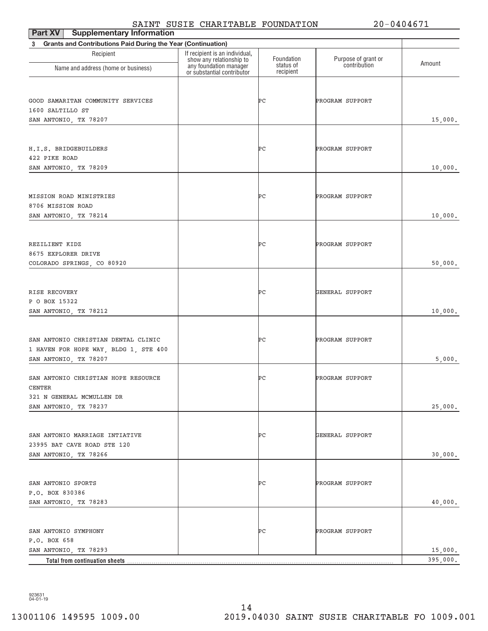# SAINT SUSIE CHARITABLE FOUNDATION 20-0404671

| <b>Supplementary Information</b><br>Part XV                              | ----                                                       |                        |                     | -------  |
|--------------------------------------------------------------------------|------------------------------------------------------------|------------------------|---------------------|----------|
| <b>Grants and Contributions Paid During the Year (Continuation)</b><br>3 |                                                            |                        |                     |          |
| Recipient                                                                | If recipient is an individual,<br>show any relationship to | Foundation             | Purpose of grant or | Amount   |
| Name and address (home or business)                                      | any foundation manager<br>or substantial contributor       | status of<br>recipient | contribution        |          |
|                                                                          |                                                            |                        |                     |          |
| GOOD SAMARITAN COMMUNITY SERVICES                                        |                                                            | ÞС                     | PROGRAM SUPPORT     |          |
| 1600 SALTILLO ST                                                         |                                                            |                        |                     |          |
| SAN ANTONIO, TX 78207                                                    |                                                            |                        |                     | 15,000.  |
|                                                                          |                                                            |                        |                     |          |
| H.I.S. BRIDGEBUILDERS                                                    |                                                            | ÞС                     | PROGRAM SUPPORT     |          |
| 422 PIKE ROAD                                                            |                                                            |                        |                     |          |
| SAN ANTONIO, TX 78209                                                    |                                                            |                        |                     | 10,000.  |
|                                                                          |                                                            |                        |                     |          |
|                                                                          |                                                            |                        |                     |          |
| MISSION ROAD MINISTRIES<br>8706 MISSION ROAD                             |                                                            | ÞС                     | PROGRAM SUPPORT     |          |
| SAN ANTONIO, TX 78214                                                    |                                                            |                        |                     | 10,000.  |
|                                                                          |                                                            |                        |                     |          |
|                                                                          |                                                            |                        |                     |          |
| REZILIENT KIDZ                                                           |                                                            | ÞС                     | PROGRAM SUPPORT     |          |
| 8675 EXPLORER DRIVE                                                      |                                                            |                        |                     |          |
| COLORADO SPRINGS, CO 80920                                               |                                                            |                        |                     | 50,000.  |
|                                                                          |                                                            |                        |                     |          |
| RISE RECOVERY                                                            |                                                            | ÞС                     | GENERAL SUPPORT     |          |
| P O BOX 15322                                                            |                                                            |                        |                     |          |
| SAN ANTONIO, TX 78212                                                    |                                                            |                        |                     | 10,000.  |
|                                                                          |                                                            |                        |                     |          |
| SAN ANTONIO CHRISTIAN DENTAL CLINIC                                      |                                                            | ÞС                     | PROGRAM SUPPORT     |          |
| 1 HAVEN FOR HOPE WAY, BLDG 1, STE 400                                    |                                                            |                        |                     |          |
| SAN ANTONIO, TX 78207                                                    |                                                            |                        |                     | 5,000.   |
| SAN ANTONIO CHRISTIAN HOPE RESOURCE                                      |                                                            | ÞС                     | PROGRAM SUPPORT     |          |
| <b>CENTER</b>                                                            |                                                            |                        |                     |          |
| 321 N GENERAL MCMULLEN DR                                                |                                                            |                        |                     |          |
| SAN ANTONIO, TX 78237                                                    |                                                            |                        |                     | 25,000.  |
|                                                                          |                                                            |                        |                     |          |
| SAN ANTONIO MARRIAGE INTIATIVE                                           |                                                            | ÞС                     | GENERAL SUPPORT     |          |
| 23995 BAT CAVE ROAD STE 120                                              |                                                            |                        |                     |          |
| SAN ANTONIO, TX 78266                                                    |                                                            |                        |                     | 30,000.  |
|                                                                          |                                                            |                        |                     |          |
|                                                                          |                                                            | ÞС                     |                     |          |
| SAN ANTONIO SPORTS<br>P.O. BOX 830386                                    |                                                            |                        | PROGRAM SUPPORT     |          |
| SAN ANTONIO, TX 78283                                                    |                                                            |                        |                     | 40,000.  |
|                                                                          |                                                            |                        |                     |          |
|                                                                          |                                                            |                        |                     |          |
| SAN ANTONIO SYMPHONY                                                     |                                                            | ÞС                     | PROGRAM SUPPORT     |          |
| P.O. BOX 658<br>SAN ANTONIO, TX 78293                                    |                                                            |                        |                     | 15,000.  |
| Total from continuation sheets                                           |                                                            |                        |                     | 395,000. |

923631 04‐01‐19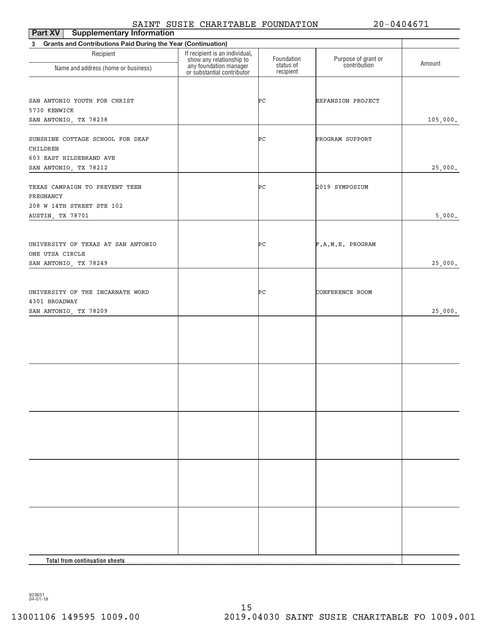## SAINT SUSIE CHARITABLE FOUNDATION 20-0404671

| <b>Supplementary Information</b><br>Part XV                    |                                                                                                                    |                         |                                     |          |  |  |
|----------------------------------------------------------------|--------------------------------------------------------------------------------------------------------------------|-------------------------|-------------------------------------|----------|--|--|
| 3 Grants and Contributions Paid During the Year (Continuation) |                                                                                                                    |                         |                                     |          |  |  |
| Recipient                                                      | If recipient is an individual,<br>show any relationship to<br>any foundation manager<br>or substantial contributor | Foundation<br>status of | Purpose of grant or<br>contribution | Amount   |  |  |
| Name and address (home or business)                            |                                                                                                                    | recipient               |                                     |          |  |  |
| SAN ANTONIO YOUTH FOR CHRIST                                   |                                                                                                                    | ÞС                      | <b>EXPANSION PROJECT</b>            |          |  |  |
| 5730 KENWICK                                                   |                                                                                                                    |                         |                                     |          |  |  |
| SAN ANTONIO, TX 78238                                          |                                                                                                                    |                         |                                     | 105,000. |  |  |
| SUNSHINE COTTAGE SCHOOL FOR DEAF<br><b>CHILDREN</b>            |                                                                                                                    | ÞС                      | PROGRAM SUPPORT                     |          |  |  |
| 603 EAST HILDEBRAND AVE                                        |                                                                                                                    |                         |                                     |          |  |  |
| SAN ANTONIO, TX 78212                                          |                                                                                                                    |                         |                                     | 25,000.  |  |  |
| TEXAS CAMPAIGN TO PREVENT TEEN<br>PREGNANCY                    |                                                                                                                    | ÞС                      | 2019 SYMPOSIUM                      |          |  |  |
| 208 W 14TH STREET STE 102                                      |                                                                                                                    |                         |                                     |          |  |  |
| AUSTIN, TX 78701                                               |                                                                                                                    |                         |                                     | 5,000.   |  |  |
| UNIVERSITY OF TEXAS AT SAN ANTONIO                             |                                                                                                                    | ÞС                      | F.A.M.E. PROGRAM                    |          |  |  |
| ONE UTSA CIRCLE                                                |                                                                                                                    |                         |                                     |          |  |  |
| SAN ANTONIO, TX 78249                                          |                                                                                                                    |                         |                                     | 25,000.  |  |  |
|                                                                |                                                                                                                    |                         |                                     |          |  |  |
| UNIVERSITY OF THE INCARNATE WORD                               |                                                                                                                    | ÞС                      | CONFERENCE ROOM                     |          |  |  |
| 4301 BROADWAY                                                  |                                                                                                                    |                         |                                     |          |  |  |
| SAN ANTONIO, TX 78209                                          |                                                                                                                    |                         |                                     | 25,000.  |  |  |
|                                                                |                                                                                                                    |                         |                                     |          |  |  |
|                                                                |                                                                                                                    |                         |                                     |          |  |  |
|                                                                |                                                                                                                    |                         |                                     |          |  |  |
|                                                                |                                                                                                                    |                         |                                     |          |  |  |
|                                                                |                                                                                                                    |                         |                                     |          |  |  |
|                                                                |                                                                                                                    |                         |                                     |          |  |  |
|                                                                |                                                                                                                    |                         |                                     |          |  |  |
|                                                                |                                                                                                                    |                         |                                     |          |  |  |
|                                                                |                                                                                                                    |                         |                                     |          |  |  |
|                                                                |                                                                                                                    |                         |                                     |          |  |  |
|                                                                |                                                                                                                    |                         |                                     |          |  |  |
|                                                                |                                                                                                                    |                         |                                     |          |  |  |
|                                                                |                                                                                                                    |                         |                                     |          |  |  |
|                                                                |                                                                                                                    |                         |                                     |          |  |  |
|                                                                |                                                                                                                    |                         |                                     |          |  |  |
|                                                                |                                                                                                                    |                         |                                     |          |  |  |
|                                                                |                                                                                                                    |                         |                                     |          |  |  |
|                                                                |                                                                                                                    |                         |                                     |          |  |  |
|                                                                |                                                                                                                    |                         |                                     |          |  |  |
| Total from continuation sheets                                 |                                                                                                                    |                         |                                     |          |  |  |
|                                                                |                                                                                                                    |                         |                                     |          |  |  |

923631 04‐01‐19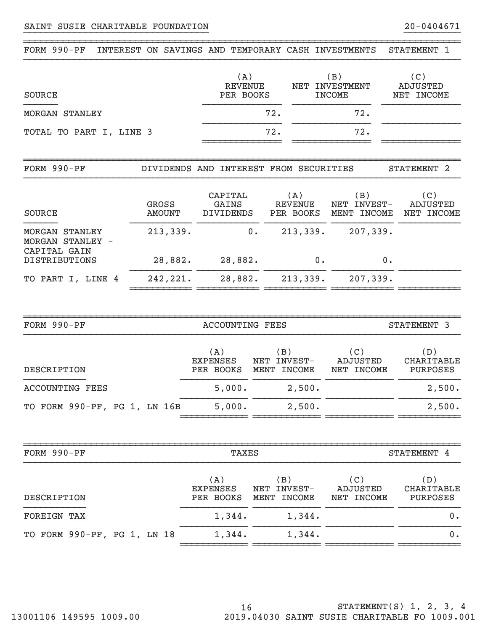| FORM 990-PF                                             |                               | INTEREST ON SAVINGS AND TEMPORARY CASH INVESTMENTS |                          |                                             | STATEMENT 1                   |
|---------------------------------------------------------|-------------------------------|----------------------------------------------------|--------------------------|---------------------------------------------|-------------------------------|
| SOURCE                                                  |                               | (A)<br><b>REVENUE</b><br>PER BOOKS                 | NET                      | (B)<br><b>INVESTMENT</b><br><b>INCOME</b>   | (C)<br>ADJUSTED<br>NET INCOME |
| <b>MORGAN STANLEY</b>                                   |                               |                                                    | 72.                      | 72.                                         |                               |
| TOTAL TO PART I, LINE 3                                 |                               |                                                    | 72.                      | 72.                                         |                               |
|                                                         |                               |                                                    |                          |                                             |                               |
| FORM 990-PF                                             | DIVIDENDS AND                 |                                                    | INTEREST FROM SECURITIES |                                             | STATEMENT 2                   |
| SOURCE                                                  | <b>GROSS</b><br><b>AMOUNT</b> | CAPITAL<br>GAINS<br>DIVIDENDS                      | (A)<br>REVENUE           | (B)<br>NET INVEST-<br>PER BOOKS MENT INCOME | (C)<br>ADJUSTED<br>NET INCOME |
| <b>MORGAN STANLEY</b><br>MORGAN STANLEY<br>CAPITAL GAIN | 213,339.                      | $0 \cdot$                                          | 213,339.                 | 207,339.                                    |                               |
| <b>DISTRIBUTIONS</b>                                    | 28,882.                       | 28,882.                                            | $0$ .                    |                                             | 0.                            |
| PART I, LINE 4<br>TО                                    | 242,221.                      | 28,882.                                            | 213,339.                 | 207,339.                                    |                               |

| FORM 990-PF                  | ACCOUNTING FEES                     |                                          |                               | STATEMENT 3                                 |
|------------------------------|-------------------------------------|------------------------------------------|-------------------------------|---------------------------------------------|
| DESCRIPTION                  | (A)<br><b>EXPENSES</b><br>PER BOOKS | $\,$ B $)$<br>NET INVEST-<br>MENT INCOME | (C)<br>ADJUSTED<br>NET INCOME | (D)<br><b>CHARITABLE</b><br><b>PURPOSES</b> |
| <b>ACCOUNTING FEES</b>       | 5,000.                              | 2,500.                                   |                               | 2,500.                                      |
| TO FORM 990-PF, PG 1, LN 16B | 5,000.                              | 2,500.                                   |                               | 2,500.                                      |
|                              |                                     |                                          |                               |                                             |

| FORM 990-PF                 | TAXES                               |                                             |                               | STATEMENT 4                     |
|-----------------------------|-------------------------------------|---------------------------------------------|-------------------------------|---------------------------------|
| DESCRIPTION                 | (A)<br><b>EXPENSES</b><br>PER BOOKS | $\,$ B $)$<br>NET INVEST-<br>INCOME<br>MENT | (C)<br>ADJUSTED<br>NET INCOME | ( D )<br>CHARITABLE<br>PURPOSES |
| <b>FOREIGN TAX</b>          | 1,344.                              | 1,344.                                      |                               | 0.                              |
| TO FORM 990-PF, PG 1, LN 18 | 1,344.                              | 1,344.                                      |                               | 0.                              |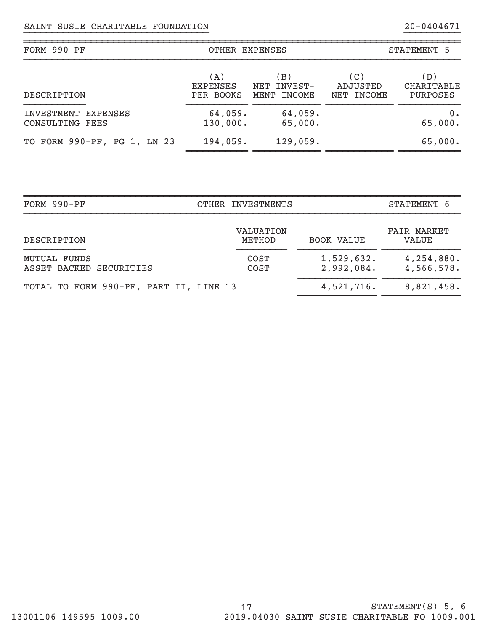| FORM 990-PF                            | OTHER EXPENSES                      |                                      | STATEMENT 5                   |                                      |  |
|----------------------------------------|-------------------------------------|--------------------------------------|-------------------------------|--------------------------------------|--|
| DESCRIPTION                            | (A)<br><b>EXPENSES</b><br>PER BOOKS | (B)<br>INVEST-<br>NET<br>MENT INCOME | (C)<br>ADJUSTED<br>NET INCOME | (D)<br>CHARITABLE<br><b>PURPOSES</b> |  |
| INVESTMENT EXPENSES<br>CONSULTING FEES | 64,059.<br>130,000.                 | 64,059.<br>65,000.                   |                               | 0.<br>65,000.                        |  |
| TO FORM 990-PF, PG 1, LN 23            | 194,059.                            | 129,059.                             |                               | 65,000.                              |  |

| OTHER INVESTMENTS          |                                        |                                    |
|----------------------------|----------------------------------------|------------------------------------|
|                            |                                        | STATEMENT 6                        |
| <b>VALUATION</b><br>METHOD | <b>BOOK VALUE</b>                      | <b>FAIR MARKET</b><br><b>VALUE</b> |
| <b>COST</b><br><b>COST</b> | 1,529,632.<br>2,992,084.               | 4,254,880.<br>4,566,578.           |
|                            | 4,521,716.                             | 8,821,458.                         |
|                            | TOTAL TO FORM 990-PF, PART II, LINE 13 |                                    |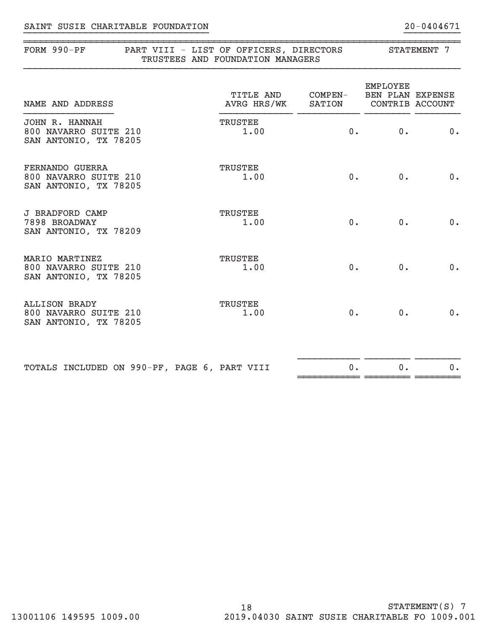# }}}}}}}}}}}}}}}}}}}}}}}}}}}}}}}}} }}}}}}}}}} SAINT SUSIE CHARITABLE FOUNDATION 20‐0404671

| FORM 990-PF<br>PART VIII - LIST OF OFFICERS, DIRECTORS<br>TRUSTEES AND FOUNDATION MANAGERS |                          | STATEMENT 7       |                                                        |       |
|--------------------------------------------------------------------------------------------|--------------------------|-------------------|--------------------------------------------------------|-------|
| NAME AND ADDRESS                                                                           | TITLE AND<br>AVRG HRS/WK | COMPEN-<br>SATION | <b>EMPLOYEE</b><br>BEN PLAN EXPENSE<br>CONTRIB ACCOUNT |       |
| <b>JOHN R. HANNAH</b><br>800 NAVARRO SUITE 210<br>SAN ANTONIO, TX 78205                    | <b>TRUSTEE</b><br>1.00   |                   | 0.<br>0.                                               | 0.    |
| FERNANDO GUERRA<br>800 NAVARRO SUITE 210<br>SAN ANTONIO, TX 78205                          | TRUSTEE<br>1.00          | $0$ .             | $0$ .                                                  | 0.    |
| <b>J BRADFORD CAMP</b><br>7898 BROADWAY<br>SAN ANTONIO, TX 78209                           | TRUSTEE<br>1.00          | $0$ .             | $0$ .                                                  | 0.    |
| MARIO MARTINEZ<br>800 NAVARRO SUITE 210<br>SAN ANTONIO, TX 78205                           | TRUSTEE<br>1.00          | $0$ .             | $0$ .                                                  | $0$ . |
| <b>ALLISON BRADY</b><br>800 NAVARRO SUITE 210<br>SAN ANTONIO, TX 78205                     | TRUSTEE<br>1.00          | $0$ .             | 0.                                                     | $0$ . |
| TOTALS INCLUDED ON 990-PF, PAGE 6, PART VIII                                               |                          | 0.                | 0.                                                     | 0.    |

~~~~~~~~~~~ ~~~~~~~~ ~~~~~~~~